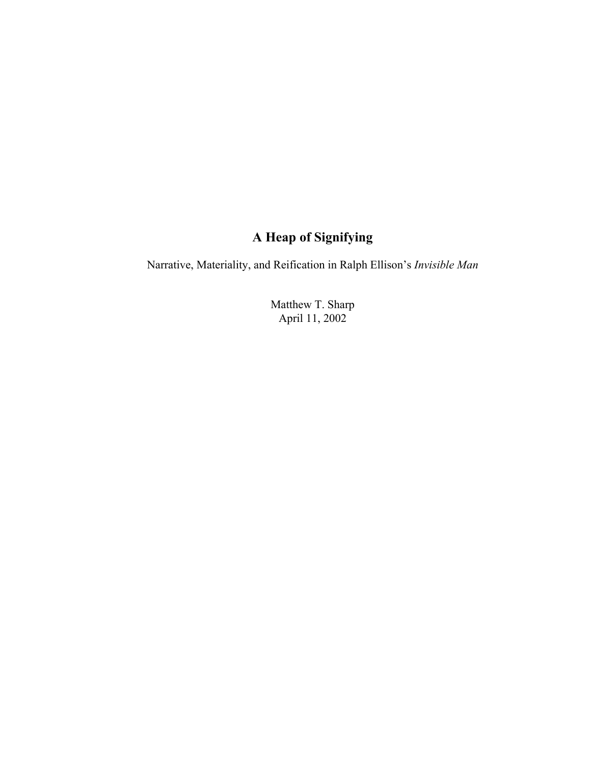## **A Heap of Signifying**

Narrative, Materiality, and Reification in Ralph Ellison's *Invisible Man*

Matthew T. Sharp April 11, 2002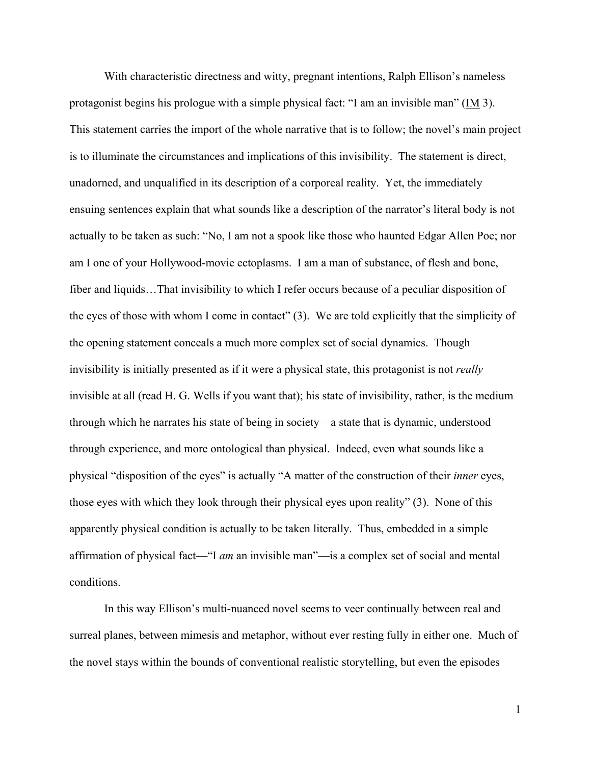With characteristic directness and witty, pregnant intentions, Ralph Ellison's nameless protagonist begins his prologue with a simple physical fact: "I am an invisible man" (IM 3). This statement carries the import of the whole narrative that is to follow; the novel's main project is to illuminate the circumstances and implications of this invisibility. The statement is direct, unadorned, and unqualified in its description of a corporeal reality. Yet, the immediately ensuing sentences explain that what sounds like a description of the narrator's literal body is not actually to be taken as such: "No, I am not a spook like those who haunted Edgar Allen Poe; nor am I one of your Hollywood-movie ectoplasms. I am a man of substance, of flesh and bone, fiber and liquids…That invisibility to which I refer occurs because of a peculiar disposition of the eyes of those with whom I come in contact" (3). We are told explicitly that the simplicity of the opening statement conceals a much more complex set of social dynamics. Though invisibility is initially presented as if it were a physical state, this protagonist is not *really* invisible at all (read H. G. Wells if you want that); his state of invisibility, rather, is the medium through which he narrates his state of being in society—a state that is dynamic, understood through experience, and more ontological than physical. Indeed, even what sounds like a physical "disposition of the eyes" is actually "A matter of the construction of their *inner* eyes, those eyes with which they look through their physical eyes upon reality" (3). None of this apparently physical condition is actually to be taken literally. Thus, embedded in a simple affirmation of physical fact—"I *am* an invisible man"—is a complex set of social and mental conditions.

In this way Ellison's multi-nuanced novel seems to veer continually between real and surreal planes, between mimesis and metaphor, without ever resting fully in either one. Much of the novel stays within the bounds of conventional realistic storytelling, but even the episodes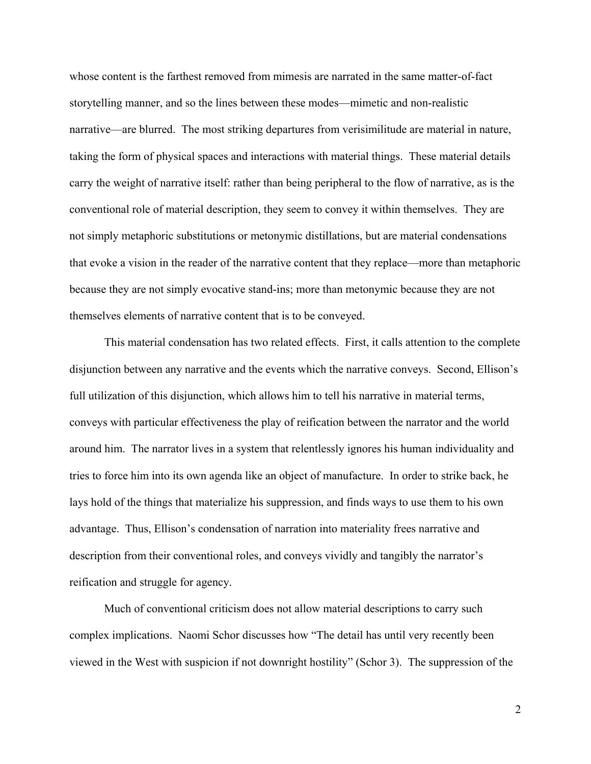whose content is the farthest removed from mimesis are narrated in the same matter-of-fact storytelling manner, and so the lines between these modes—mimetic and non-realistic narrative—are blurred. The most striking departures from verisimilitude are material in nature, taking the form of physical spaces and interactions with material things. These material details carry the weight of narrative itself: rather than being peripheral to the flow of narrative, as is the conventional role of material description, they seem to convey it within themselves. They are not simply metaphoric substitutions or metonymic distillations, but are material condensations that evoke a vision in the reader of the narrative content that they replace—more than metaphoric because they are not simply evocative stand-ins; more than metonymic because they are not themselves elements of narrative content that is to be conveyed.

This material condensation has two related effects. First, it calls attention to the complete disjunction between any narrative and the events which the narrative conveys. Second, Ellison's full utilization of this disjunction, which allows him to tell his narrative in material terms, conveys with particular effectiveness the play of reification between the narrator and the world around him. The narrator lives in a system that relentlessly ignores his human individuality and tries to force him into its own agenda like an object of manufacture. In order to strike back, he lays hold of the things that materialize his suppression, and finds ways to use them to his own advantage. Thus, Ellison's condensation of narration into materiality frees narrative and description from their conventional roles, and conveys vividly and tangibly the narrator's reification and struggle for agency.

Much of conventional criticism does not allow material descriptions to carry such complex implications. Naomi Schor discusses how "The detail has until very recently been viewed in the West with suspicion if not downright hostility" (Schor 3). The suppression of the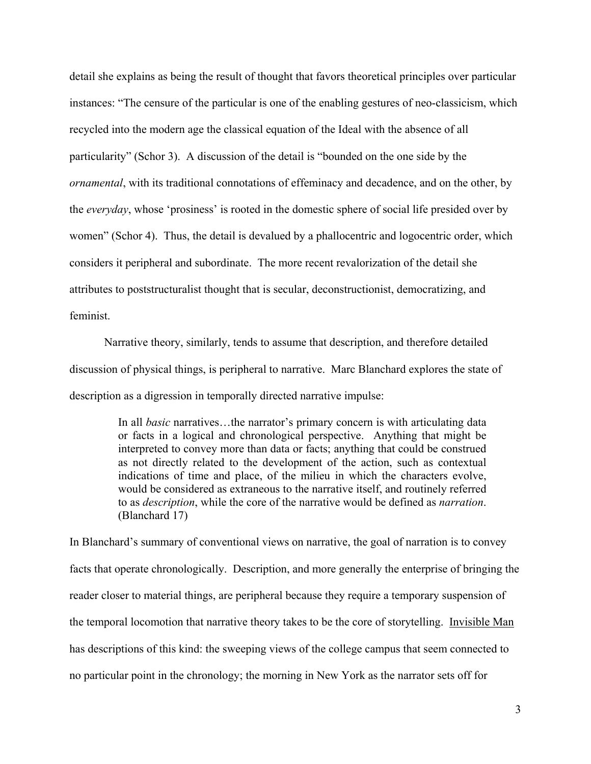detail she explains as being the result of thought that favors theoretical principles over particular instances: "The censure of the particular is one of the enabling gestures of neo-classicism, which recycled into the modern age the classical equation of the Ideal with the absence of all particularity" (Schor 3). A discussion of the detail is "bounded on the one side by the *ornamental*, with its traditional connotations of effeminacy and decadence, and on the other, by the *everyday*, whose 'prosiness' is rooted in the domestic sphere of social life presided over by women" (Schor 4). Thus, the detail is devalued by a phallocentric and logocentric order, which considers it peripheral and subordinate. The more recent revalorization of the detail she attributes to poststructuralist thought that is secular, deconstructionist, democratizing, and feminist.

Narrative theory, similarly, tends to assume that description, and therefore detailed discussion of physical things, is peripheral to narrative. Marc Blanchard explores the state of description as a digression in temporally directed narrative impulse:

> In all *basic* narratives…the narrator's primary concern is with articulating data or facts in a logical and chronological perspective. Anything that might be interpreted to convey more than data or facts; anything that could be construed as not directly related to the development of the action, such as contextual indications of time and place, of the milieu in which the characters evolve, would be considered as extraneous to the narrative itself, and routinely referred to as *description*, while the core of the narrative would be defined as *narration*. (Blanchard 17)

In Blanchard's summary of conventional views on narrative, the goal of narration is to convey facts that operate chronologically. Description, and more generally the enterprise of bringing the reader closer to material things, are peripheral because they require a temporary suspension of the temporal locomotion that narrative theory takes to be the core of storytelling. Invisible Man has descriptions of this kind: the sweeping views of the college campus that seem connected to no particular point in the chronology; the morning in New York as the narrator sets off for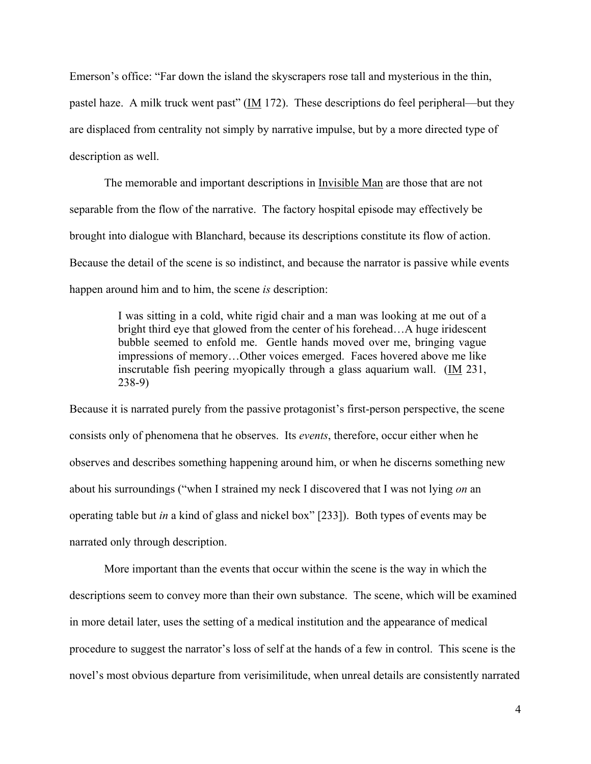Emerson's office: "Far down the island the skyscrapers rose tall and mysterious in the thin, pastel haze. A milk truck went past" (IM 172). These descriptions do feel peripheral—but they are displaced from centrality not simply by narrative impulse, but by a more directed type of description as well.

The memorable and important descriptions in Invisible Man are those that are not separable from the flow of the narrative. The factory hospital episode may effectively be brought into dialogue with Blanchard, because its descriptions constitute its flow of action. Because the detail of the scene is so indistinct, and because the narrator is passive while events happen around him and to him, the scene *is* description:

> I was sitting in a cold, white rigid chair and a man was looking at me out of a bright third eye that glowed from the center of his forehead…A huge iridescent bubble seemed to enfold me. Gentle hands moved over me, bringing vague impressions of memory…Other voices emerged. Faces hovered above me like inscrutable fish peering myopically through a glass aquarium wall. (IM 231, 238-9)

Because it is narrated purely from the passive protagonist's first-person perspective, the scene consists only of phenomena that he observes. Its *events*, therefore, occur either when he observes and describes something happening around him, or when he discerns something new about his surroundings ("when I strained my neck I discovered that I was not lying *on* an operating table but *in* a kind of glass and nickel box" [233]). Both types of events may be narrated only through description.

More important than the events that occur within the scene is the way in which the descriptions seem to convey more than their own substance. The scene, which will be examined in more detail later, uses the setting of a medical institution and the appearance of medical procedure to suggest the narrator's loss of self at the hands of a few in control. This scene is the novel's most obvious departure from verisimilitude, when unreal details are consistently narrated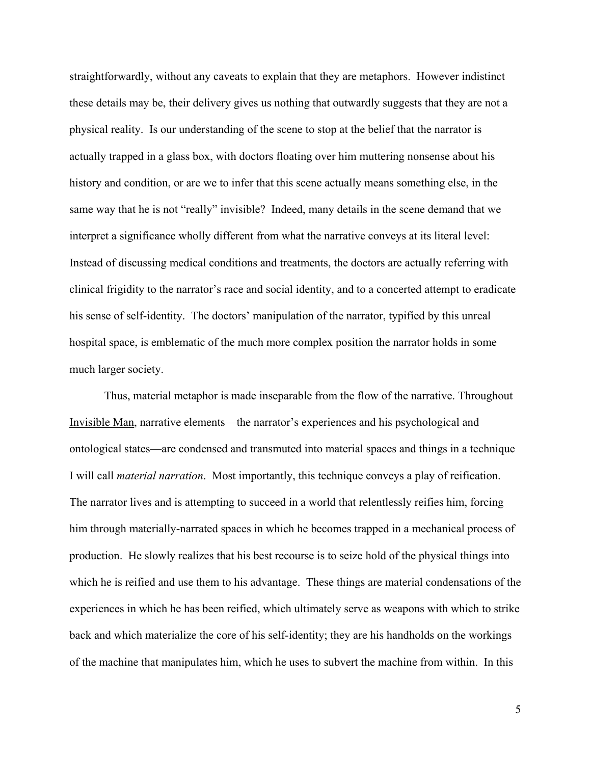straightforwardly, without any caveats to explain that they are metaphors. However indistinct these details may be, their delivery gives us nothing that outwardly suggests that they are not a physical reality. Is our understanding of the scene to stop at the belief that the narrator is actually trapped in a glass box, with doctors floating over him muttering nonsense about his history and condition, or are we to infer that this scene actually means something else, in the same way that he is not "really" invisible? Indeed, many details in the scene demand that we interpret a significance wholly different from what the narrative conveys at its literal level: Instead of discussing medical conditions and treatments, the doctors are actually referring with clinical frigidity to the narrator's race and social identity, and to a concerted attempt to eradicate his sense of self-identity. The doctors' manipulation of the narrator, typified by this unreal hospital space, is emblematic of the much more complex position the narrator holds in some much larger society.

Thus, material metaphor is made inseparable from the flow of the narrative. Throughout Invisible Man, narrative elements—the narrator's experiences and his psychological and ontological states—are condensed and transmuted into material spaces and things in a technique I will call *material narration*. Most importantly, this technique conveys a play of reification. The narrator lives and is attempting to succeed in a world that relentlessly reifies him, forcing him through materially-narrated spaces in which he becomes trapped in a mechanical process of production. He slowly realizes that his best recourse is to seize hold of the physical things into which he is reified and use them to his advantage. These things are material condensations of the experiences in which he has been reified, which ultimately serve as weapons with which to strike back and which materialize the core of his self-identity; they are his handholds on the workings of the machine that manipulates him, which he uses to subvert the machine from within. In this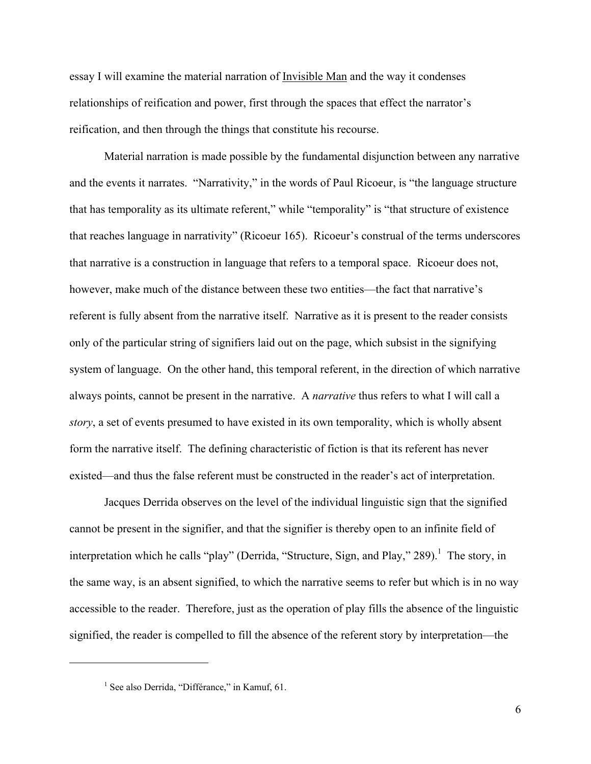essay I will examine the material narration of Invisible Man and the way it condenses relationships of reification and power, first through the spaces that effect the narrator's reification, and then through the things that constitute his recourse.

Material narration is made possible by the fundamental disjunction between any narrative and the events it narrates. "Narrativity," in the words of Paul Ricoeur, is "the language structure that has temporality as its ultimate referent," while "temporality" is "that structure of existence that reaches language in narrativity" (Ricoeur 165). Ricoeur's construal of the terms underscores that narrative is a construction in language that refers to a temporal space. Ricoeur does not, however, make much of the distance between these two entities—the fact that narrative's referent is fully absent from the narrative itself. Narrative as it is present to the reader consists only of the particular string of signifiers laid out on the page, which subsist in the signifying system of language. On the other hand, this temporal referent, in the direction of which narrative always points, cannot be present in the narrative. A *narrative* thus refers to what I will call a *story*, a set of events presumed to have existed in its own temporality, which is wholly absent form the narrative itself. The defining characteristic of fiction is that its referent has never existed—and thus the false referent must be constructed in the reader's act of interpretation.

Jacques Derrida observes on the level of the individual linguistic sign that the signified cannot be present in the signifier, and that the signifier is thereby open to an infinite field of interpretation which he calls "play" (Derrida, "Structure, Sign, and Play," 289).<sup>1</sup> The story, in the same way, is an absent signified, to which the narrative seems to refer but which is in no way accessible to the reader. Therefore, just as the operation of play fills the absence of the linguistic signified, the reader is compelled to fill the absence of the referent story by interpretation—the

 $\overline{a}$ 

<sup>&</sup>lt;sup>1</sup> See also Derrida, "Différance," in Kamuf, 61.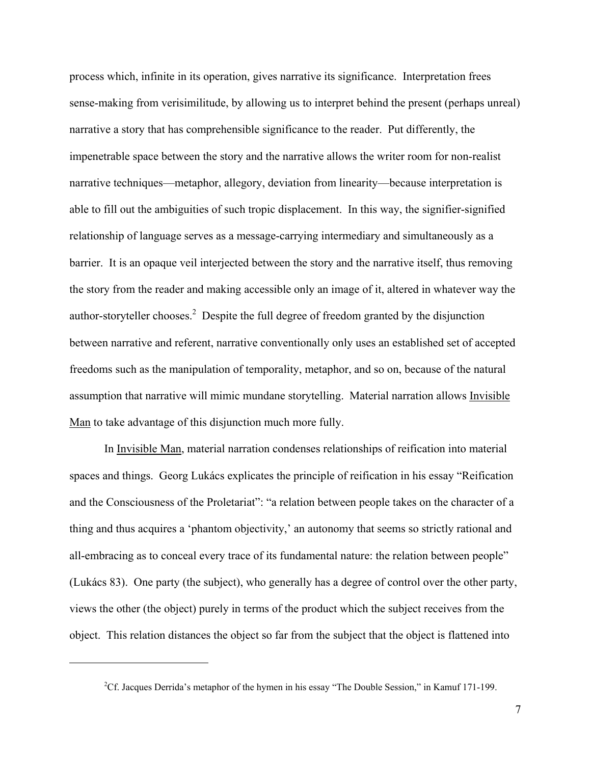process which, infinite in its operation, gives narrative its significance. Interpretation frees sense-making from verisimilitude, by allowing us to interpret behind the present (perhaps unreal) narrative a story that has comprehensible significance to the reader. Put differently, the impenetrable space between the story and the narrative allows the writer room for non-realist narrative techniques—metaphor, allegory, deviation from linearity—because interpretation is able to fill out the ambiguities of such tropic displacement. In this way, the signifier-signified relationship of language serves as a message-carrying intermediary and simultaneously as a barrier. It is an opaque veil interjected between the story and the narrative itself, thus removing the story from the reader and making accessible only an image of it, altered in whatever way the author-storyteller chooses.<sup>2</sup> Despite the full degree of freedom granted by the disjunction between narrative and referent, narrative conventionally only uses an established set of accepted freedoms such as the manipulation of temporality, metaphor, and so on, because of the natural assumption that narrative will mimic mundane storytelling. Material narration allows Invisible Man to take advantage of this disjunction much more fully.

In Invisible Man, material narration condenses relationships of reification into material spaces and things. Georg Lukács explicates the principle of reification in his essay "Reification and the Consciousness of the Proletariat": "a relation between people takes on the character of a thing and thus acquires a 'phantom objectivity,' an autonomy that seems so strictly rational and all-embracing as to conceal every trace of its fundamental nature: the relation between people" (Lukács 83). One party (the subject), who generally has a degree of control over the other party, views the other (the object) purely in terms of the product which the subject receives from the object. This relation distances the object so far from the subject that the object is flattened into

 $\overline{a}$ 

<sup>&</sup>lt;sup>2</sup>Cf. Jacques Derrida's metaphor of the hymen in his essay "The Double Session," in Kamuf 171-199.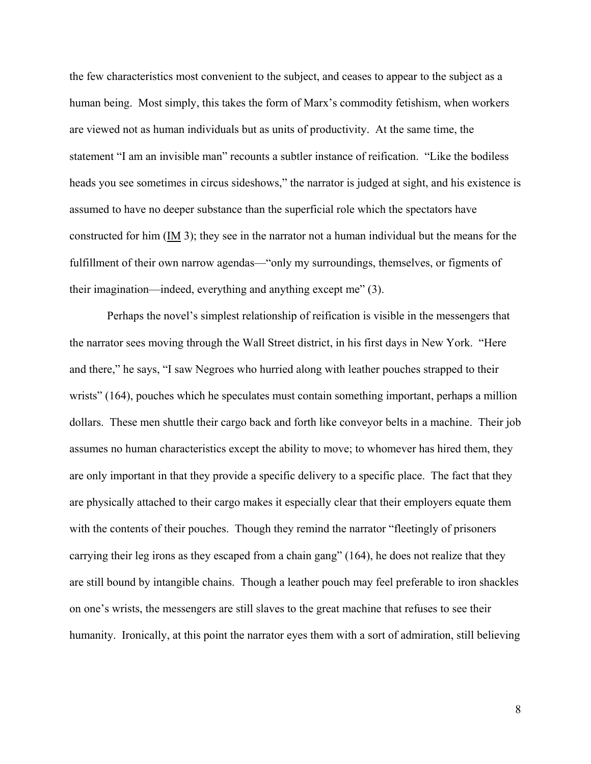the few characteristics most convenient to the subject, and ceases to appear to the subject as a human being. Most simply, this takes the form of Marx's commodity fetishism, when workers are viewed not as human individuals but as units of productivity. At the same time, the statement "I am an invisible man" recounts a subtler instance of reification. "Like the bodiless heads you see sometimes in circus sideshows," the narrator is judged at sight, and his existence is assumed to have no deeper substance than the superficial role which the spectators have constructed for him (IM 3); they see in the narrator not a human individual but the means for the fulfillment of their own narrow agendas—"only my surroundings, themselves, or figments of their imagination—indeed, everything and anything except me" (3).

 Perhaps the novel's simplest relationship of reification is visible in the messengers that the narrator sees moving through the Wall Street district, in his first days in New York. "Here and there," he says, "I saw Negroes who hurried along with leather pouches strapped to their wrists" (164), pouches which he speculates must contain something important, perhaps a million dollars. These men shuttle their cargo back and forth like conveyor belts in a machine. Their job assumes no human characteristics except the ability to move; to whomever has hired them, they are only important in that they provide a specific delivery to a specific place. The fact that they are physically attached to their cargo makes it especially clear that their employers equate them with the contents of their pouches. Though they remind the narrator "fleetingly of prisoners" carrying their leg irons as they escaped from a chain gang" (164), he does not realize that they are still bound by intangible chains. Though a leather pouch may feel preferable to iron shackles on one's wrists, the messengers are still slaves to the great machine that refuses to see their humanity. Ironically, at this point the narrator eyes them with a sort of admiration, still believing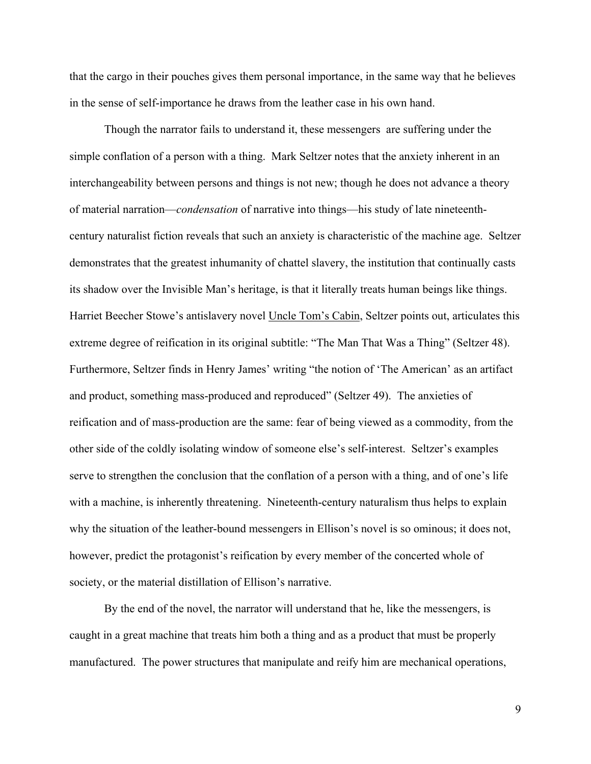that the cargo in their pouches gives them personal importance, in the same way that he believes in the sense of self-importance he draws from the leather case in his own hand.

Though the narrator fails to understand it, these messengers are suffering under the simple conflation of a person with a thing. Mark Seltzer notes that the anxiety inherent in an interchangeability between persons and things is not new; though he does not advance a theory of material narration—*condensation* of narrative into things—his study of late nineteenthcentury naturalist fiction reveals that such an anxiety is characteristic of the machine age. Seltzer demonstrates that the greatest inhumanity of chattel slavery, the institution that continually casts its shadow over the Invisible Man's heritage, is that it literally treats human beings like things. Harriet Beecher Stowe's antislavery novel Uncle Tom's Cabin, Seltzer points out, articulates this extreme degree of reification in its original subtitle: "The Man That Was a Thing" (Seltzer 48). Furthermore, Seltzer finds in Henry James' writing "the notion of 'The American' as an artifact and product, something mass-produced and reproduced" (Seltzer 49). The anxieties of reification and of mass-production are the same: fear of being viewed as a commodity, from the other side of the coldly isolating window of someone else's self-interest. Seltzer's examples serve to strengthen the conclusion that the conflation of a person with a thing, and of one's life with a machine, is inherently threatening. Nineteenth-century naturalism thus helps to explain why the situation of the leather-bound messengers in Ellison's novel is so ominous; it does not, however, predict the protagonist's reification by every member of the concerted whole of society, or the material distillation of Ellison's narrative.

By the end of the novel, the narrator will understand that he, like the messengers, is caught in a great machine that treats him both a thing and as a product that must be properly manufactured. The power structures that manipulate and reify him are mechanical operations,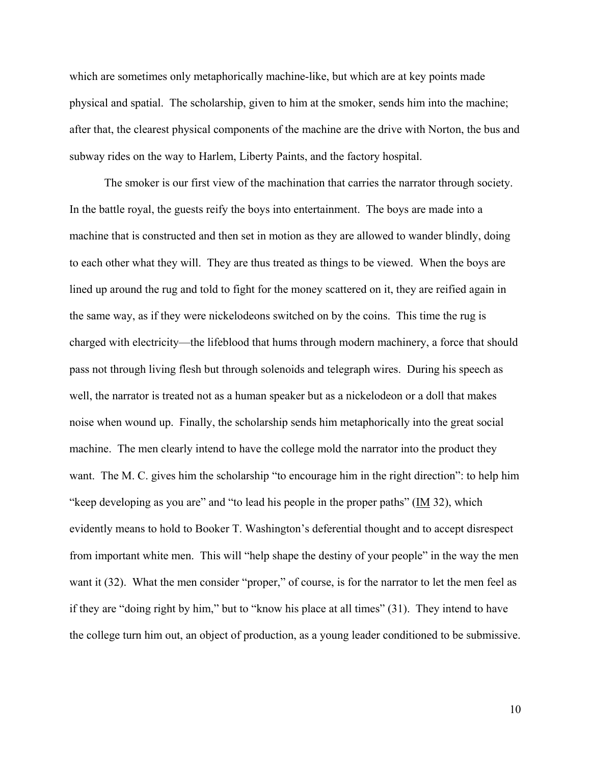which are sometimes only metaphorically machine-like, but which are at key points made physical and spatial. The scholarship, given to him at the smoker, sends him into the machine; after that, the clearest physical components of the machine are the drive with Norton, the bus and subway rides on the way to Harlem, Liberty Paints, and the factory hospital.

The smoker is our first view of the machination that carries the narrator through society. In the battle royal, the guests reify the boys into entertainment. The boys are made into a machine that is constructed and then set in motion as they are allowed to wander blindly, doing to each other what they will. They are thus treated as things to be viewed. When the boys are lined up around the rug and told to fight for the money scattered on it, they are reified again in the same way, as if they were nickelodeons switched on by the coins. This time the rug is charged with electricity—the lifeblood that hums through modern machinery, a force that should pass not through living flesh but through solenoids and telegraph wires. During his speech as well, the narrator is treated not as a human speaker but as a nickelodeon or a doll that makes noise when wound up. Finally, the scholarship sends him metaphorically into the great social machine. The men clearly intend to have the college mold the narrator into the product they want. The M. C. gives him the scholarship "to encourage him in the right direction": to help him "keep developing as you are" and "to lead his people in the proper paths" (IM 32), which evidently means to hold to Booker T. Washington's deferential thought and to accept disrespect from important white men. This will "help shape the destiny of your people" in the way the men want it (32). What the men consider "proper," of course, is for the narrator to let the men feel as if they are "doing right by him," but to "know his place at all times" (31). They intend to have the college turn him out, an object of production, as a young leader conditioned to be submissive.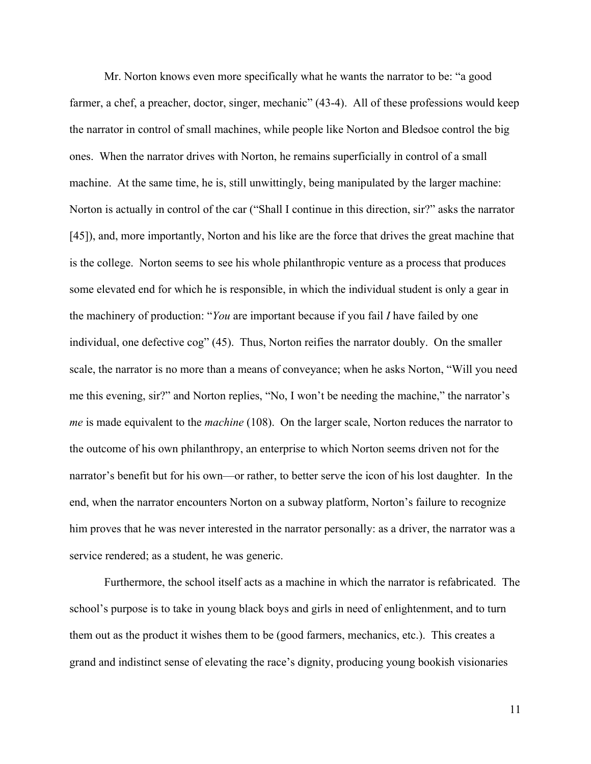Mr. Norton knows even more specifically what he wants the narrator to be: "a good farmer, a chef, a preacher, doctor, singer, mechanic" (43-4). All of these professions would keep the narrator in control of small machines, while people like Norton and Bledsoe control the big ones. When the narrator drives with Norton, he remains superficially in control of a small machine. At the same time, he is, still unwittingly, being manipulated by the larger machine: Norton is actually in control of the car ("Shall I continue in this direction, sir?" asks the narrator [45]), and, more importantly, Norton and his like are the force that drives the great machine that is the college. Norton seems to see his whole philanthropic venture as a process that produces some elevated end for which he is responsible, in which the individual student is only a gear in the machinery of production: "*You* are important because if you fail *I* have failed by one individual, one defective cog" (45). Thus, Norton reifies the narrator doubly. On the smaller scale, the narrator is no more than a means of conveyance; when he asks Norton, "Will you need me this evening, sir?" and Norton replies, "No, I won't be needing the machine," the narrator's *me* is made equivalent to the *machine* (108). On the larger scale, Norton reduces the narrator to the outcome of his own philanthropy, an enterprise to which Norton seems driven not for the narrator's benefit but for his own—or rather, to better serve the icon of his lost daughter. In the end, when the narrator encounters Norton on a subway platform, Norton's failure to recognize him proves that he was never interested in the narrator personally: as a driver, the narrator was a service rendered; as a student, he was generic.

Furthermore, the school itself acts as a machine in which the narrator is refabricated. The school's purpose is to take in young black boys and girls in need of enlightenment, and to turn them out as the product it wishes them to be (good farmers, mechanics, etc.). This creates a grand and indistinct sense of elevating the race's dignity, producing young bookish visionaries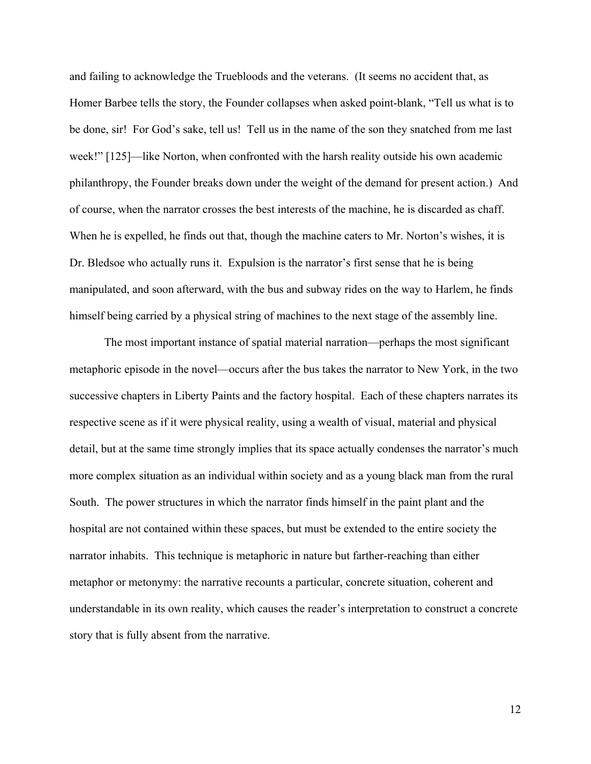and failing to acknowledge the Truebloods and the veterans. (It seems no accident that, as Homer Barbee tells the story, the Founder collapses when asked point-blank, "Tell us what is to be done, sir! For God's sake, tell us! Tell us in the name of the son they snatched from me last week!" [125]—like Norton, when confronted with the harsh reality outside his own academic philanthropy, the Founder breaks down under the weight of the demand for present action.) And of course, when the narrator crosses the best interests of the machine, he is discarded as chaff. When he is expelled, he finds out that, though the machine caters to Mr. Norton's wishes, it is Dr. Bledsoe who actually runs it. Expulsion is the narrator's first sense that he is being manipulated, and soon afterward, with the bus and subway rides on the way to Harlem, he finds himself being carried by a physical string of machines to the next stage of the assembly line.

The most important instance of spatial material narration—perhaps the most significant metaphoric episode in the novel—occurs after the bus takes the narrator to New York, in the two successive chapters in Liberty Paints and the factory hospital. Each of these chapters narrates its respective scene as if it were physical reality, using a wealth of visual, material and physical detail, but at the same time strongly implies that its space actually condenses the narrator's much more complex situation as an individual within society and as a young black man from the rural South. The power structures in which the narrator finds himself in the paint plant and the hospital are not contained within these spaces, but must be extended to the entire society the narrator inhabits. This technique is metaphoric in nature but farther-reaching than either metaphor or metonymy: the narrative recounts a particular, concrete situation, coherent and understandable in its own reality, which causes the reader's interpretation to construct a concrete story that is fully absent from the narrative.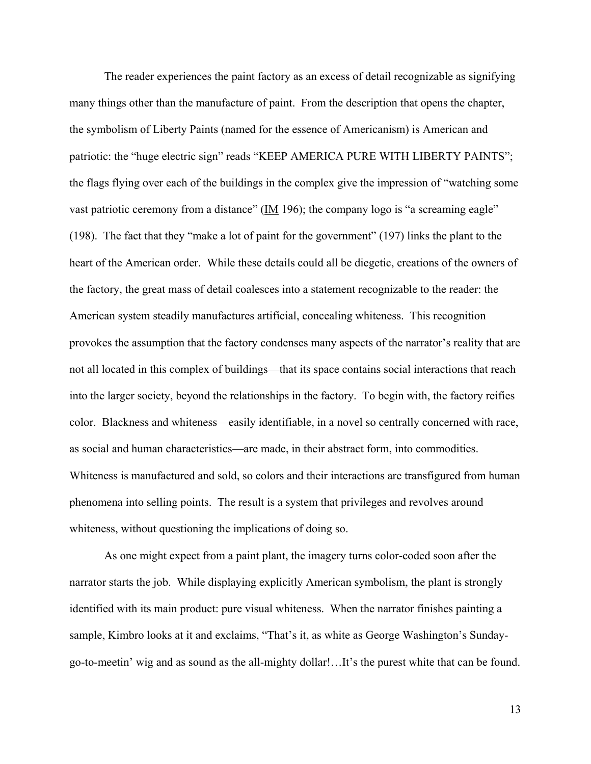The reader experiences the paint factory as an excess of detail recognizable as signifying many things other than the manufacture of paint. From the description that opens the chapter, the symbolism of Liberty Paints (named for the essence of Americanism) is American and patriotic: the "huge electric sign" reads "KEEP AMERICA PURE WITH LIBERTY PAINTS"; the flags flying over each of the buildings in the complex give the impression of "watching some vast patriotic ceremony from a distance"  $(IM 196)$ ; the company logo is "a screaming eagle" (198). The fact that they "make a lot of paint for the government" (197) links the plant to the heart of the American order. While these details could all be diegetic, creations of the owners of the factory, the great mass of detail coalesces into a statement recognizable to the reader: the American system steadily manufactures artificial, concealing whiteness. This recognition provokes the assumption that the factory condenses many aspects of the narrator's reality that are not all located in this complex of buildings—that its space contains social interactions that reach into the larger society, beyond the relationships in the factory. To begin with, the factory reifies color. Blackness and whiteness—easily identifiable, in a novel so centrally concerned with race, as social and human characteristics—are made, in their abstract form, into commodities. Whiteness is manufactured and sold, so colors and their interactions are transfigured from human phenomena into selling points. The result is a system that privileges and revolves around whiteness, without questioning the implications of doing so.

As one might expect from a paint plant, the imagery turns color-coded soon after the narrator starts the job. While displaying explicitly American symbolism, the plant is strongly identified with its main product: pure visual whiteness. When the narrator finishes painting a sample, Kimbro looks at it and exclaims, "That's it, as white as George Washington's Sundaygo-to-meetin' wig and as sound as the all-mighty dollar!…It's the purest white that can be found.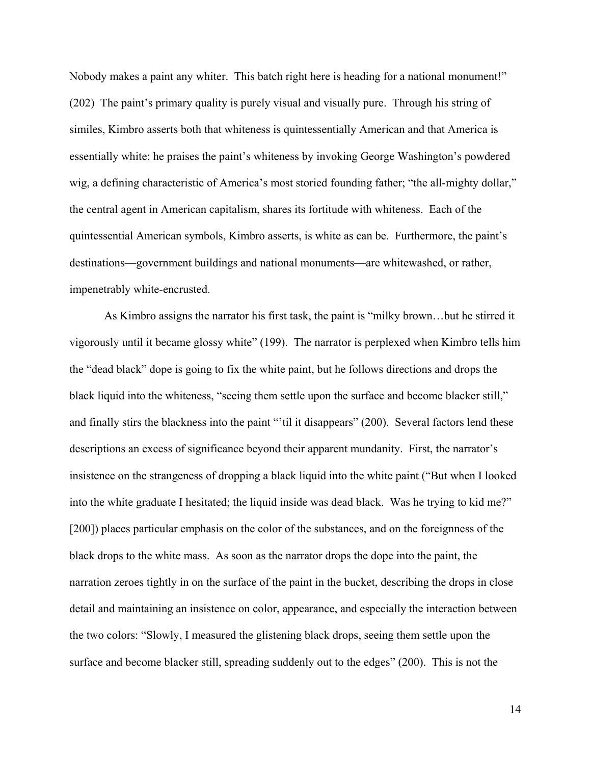Nobody makes a paint any whiter. This batch right here is heading for a national monument!" (202) The paint's primary quality is purely visual and visually pure. Through his string of similes, Kimbro asserts both that whiteness is quintessentially American and that America is essentially white: he praises the paint's whiteness by invoking George Washington's powdered wig, a defining characteristic of America's most storied founding father; "the all-mighty dollar," the central agent in American capitalism, shares its fortitude with whiteness. Each of the quintessential American symbols, Kimbro asserts, is white as can be. Furthermore, the paint's destinations—government buildings and national monuments—are whitewashed, or rather, impenetrably white-encrusted.

As Kimbro assigns the narrator his first task, the paint is "milky brown…but he stirred it vigorously until it became glossy white" (199). The narrator is perplexed when Kimbro tells him the "dead black" dope is going to fix the white paint, but he follows directions and drops the black liquid into the whiteness, "seeing them settle upon the surface and become blacker still," and finally stirs the blackness into the paint "'til it disappears" (200). Several factors lend these descriptions an excess of significance beyond their apparent mundanity. First, the narrator's insistence on the strangeness of dropping a black liquid into the white paint ("But when I looked into the white graduate I hesitated; the liquid inside was dead black. Was he trying to kid me?" [200]) places particular emphasis on the color of the substances, and on the foreignness of the black drops to the white mass. As soon as the narrator drops the dope into the paint, the narration zeroes tightly in on the surface of the paint in the bucket, describing the drops in close detail and maintaining an insistence on color, appearance, and especially the interaction between the two colors: "Slowly, I measured the glistening black drops, seeing them settle upon the surface and become blacker still, spreading suddenly out to the edges" (200). This is not the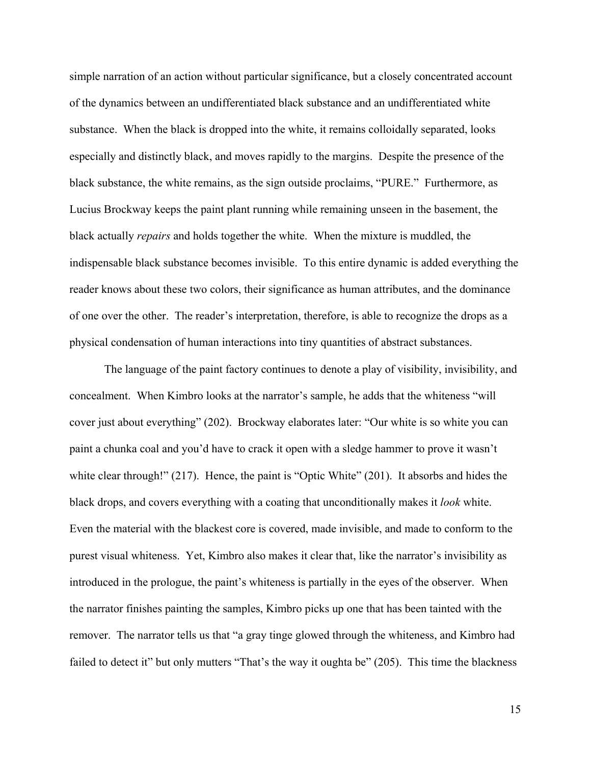simple narration of an action without particular significance, but a closely concentrated account of the dynamics between an undifferentiated black substance and an undifferentiated white substance. When the black is dropped into the white, it remains colloidally separated, looks especially and distinctly black, and moves rapidly to the margins. Despite the presence of the black substance, the white remains, as the sign outside proclaims, "PURE." Furthermore, as Lucius Brockway keeps the paint plant running while remaining unseen in the basement, the black actually *repairs* and holds together the white. When the mixture is muddled, the indispensable black substance becomes invisible. To this entire dynamic is added everything the reader knows about these two colors, their significance as human attributes, and the dominance of one over the other. The reader's interpretation, therefore, is able to recognize the drops as a physical condensation of human interactions into tiny quantities of abstract substances.

The language of the paint factory continues to denote a play of visibility, invisibility, and concealment. When Kimbro looks at the narrator's sample, he adds that the whiteness "will cover just about everything" (202). Brockway elaborates later: "Our white is so white you can paint a chunka coal and you'd have to crack it open with a sledge hammer to prove it wasn't white clear through!" (217). Hence, the paint is "Optic White" (201). It absorbs and hides the black drops, and covers everything with a coating that unconditionally makes it *look* white. Even the material with the blackest core is covered, made invisible, and made to conform to the purest visual whiteness. Yet, Kimbro also makes it clear that, like the narrator's invisibility as introduced in the prologue, the paint's whiteness is partially in the eyes of the observer. When the narrator finishes painting the samples, Kimbro picks up one that has been tainted with the remover. The narrator tells us that "a gray tinge glowed through the whiteness, and Kimbro had failed to detect it" but only mutters "That's the way it oughta be" (205). This time the blackness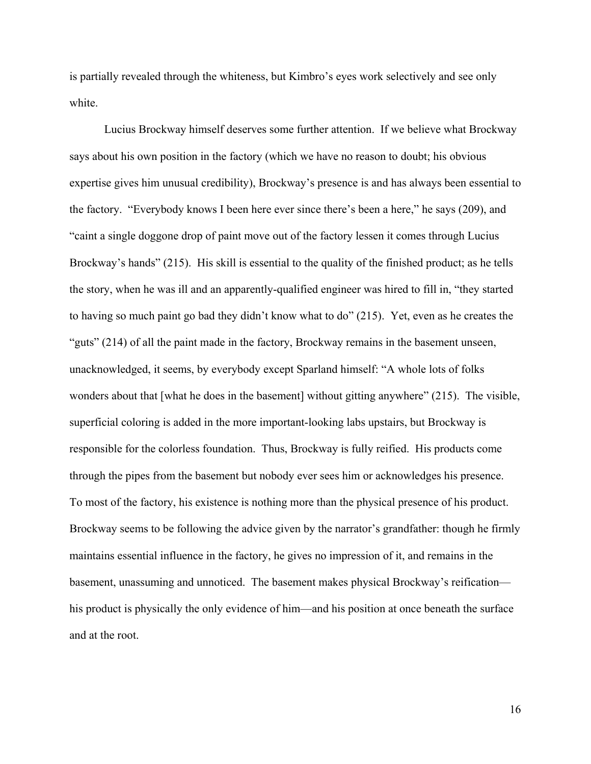is partially revealed through the whiteness, but Kimbro's eyes work selectively and see only white.

Lucius Brockway himself deserves some further attention. If we believe what Brockway says about his own position in the factory (which we have no reason to doubt; his obvious expertise gives him unusual credibility), Brockway's presence is and has always been essential to the factory. "Everybody knows I been here ever since there's been a here," he says (209), and "caint a single doggone drop of paint move out of the factory lessen it comes through Lucius Brockway's hands" (215). His skill is essential to the quality of the finished product; as he tells the story, when he was ill and an apparently-qualified engineer was hired to fill in, "they started to having so much paint go bad they didn't know what to do" (215). Yet, even as he creates the "guts" (214) of all the paint made in the factory, Brockway remains in the basement unseen, unacknowledged, it seems, by everybody except Sparland himself: "A whole lots of folks wonders about that [what he does in the basement] without gitting anywhere" (215). The visible, superficial coloring is added in the more important-looking labs upstairs, but Brockway is responsible for the colorless foundation. Thus, Brockway is fully reified. His products come through the pipes from the basement but nobody ever sees him or acknowledges his presence. To most of the factory, his existence is nothing more than the physical presence of his product. Brockway seems to be following the advice given by the narrator's grandfather: though he firmly maintains essential influence in the factory, he gives no impression of it, and remains in the basement, unassuming and unnoticed. The basement makes physical Brockway's reification his product is physically the only evidence of him—and his position at once beneath the surface and at the root.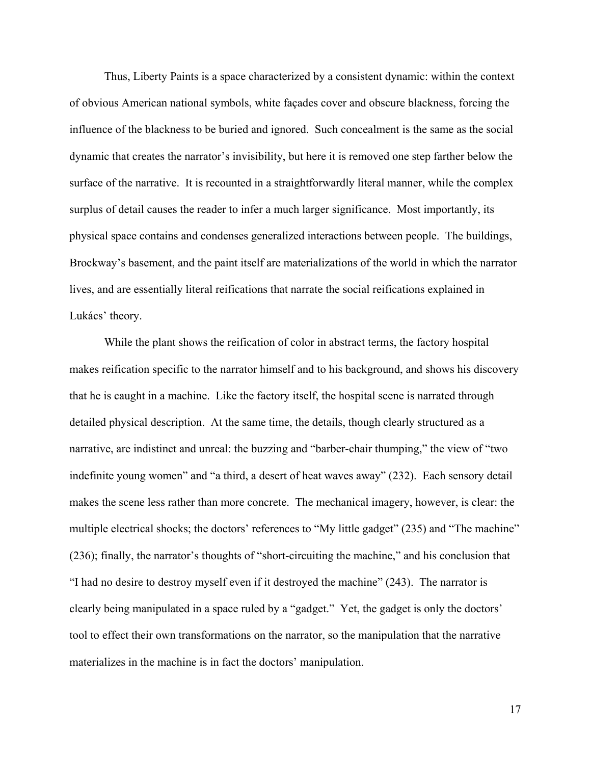Thus, Liberty Paints is a space characterized by a consistent dynamic: within the context of obvious American national symbols, white façades cover and obscure blackness, forcing the influence of the blackness to be buried and ignored. Such concealment is the same as the social dynamic that creates the narrator's invisibility, but here it is removed one step farther below the surface of the narrative. It is recounted in a straightforwardly literal manner, while the complex surplus of detail causes the reader to infer a much larger significance. Most importantly, its physical space contains and condenses generalized interactions between people. The buildings, Brockway's basement, and the paint itself are materializations of the world in which the narrator lives, and are essentially literal reifications that narrate the social reifications explained in Lukács' theory.

While the plant shows the reification of color in abstract terms, the factory hospital makes reification specific to the narrator himself and to his background, and shows his discovery that he is caught in a machine. Like the factory itself, the hospital scene is narrated through detailed physical description. At the same time, the details, though clearly structured as a narrative, are indistinct and unreal: the buzzing and "barber-chair thumping," the view of "two indefinite young women" and "a third, a desert of heat waves away" (232). Each sensory detail makes the scene less rather than more concrete. The mechanical imagery, however, is clear: the multiple electrical shocks; the doctors' references to "My little gadget" (235) and "The machine" (236); finally, the narrator's thoughts of "short-circuiting the machine," and his conclusion that "I had no desire to destroy myself even if it destroyed the machine" (243). The narrator is clearly being manipulated in a space ruled by a "gadget." Yet, the gadget is only the doctors' tool to effect their own transformations on the narrator, so the manipulation that the narrative materializes in the machine is in fact the doctors' manipulation.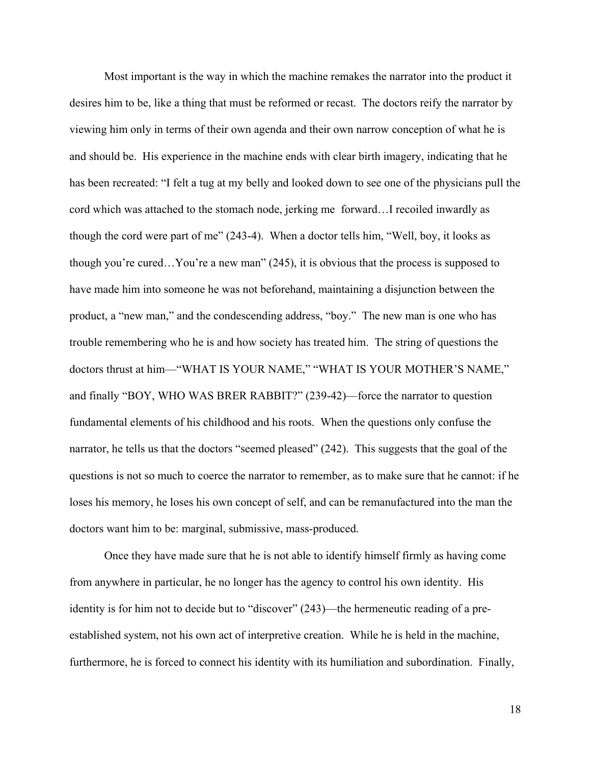Most important is the way in which the machine remakes the narrator into the product it desires him to be, like a thing that must be reformed or recast. The doctors reify the narrator by viewing him only in terms of their own agenda and their own narrow conception of what he is and should be. His experience in the machine ends with clear birth imagery, indicating that he has been recreated: "I felt a tug at my belly and looked down to see one of the physicians pull the cord which was attached to the stomach node, jerking me forward…I recoiled inwardly as though the cord were part of me" (243-4). When a doctor tells him, "Well, boy, it looks as though you're cured…You're a new man" (245), it is obvious that the process is supposed to have made him into someone he was not beforehand, maintaining a disjunction between the product, a "new man," and the condescending address, "boy." The new man is one who has trouble remembering who he is and how society has treated him. The string of questions the doctors thrust at him—"WHAT IS YOUR NAME," "WHAT IS YOUR MOTHER'S NAME," and finally "BOY, WHO WAS BRER RABBIT?" (239-42)—force the narrator to question fundamental elements of his childhood and his roots. When the questions only confuse the narrator, he tells us that the doctors "seemed pleased" (242). This suggests that the goal of the questions is not so much to coerce the narrator to remember, as to make sure that he cannot: if he loses his memory, he loses his own concept of self, and can be remanufactured into the man the doctors want him to be: marginal, submissive, mass-produced.

Once they have made sure that he is not able to identify himself firmly as having come from anywhere in particular, he no longer has the agency to control his own identity. His identity is for him not to decide but to "discover" (243)—the hermeneutic reading of a preestablished system, not his own act of interpretive creation. While he is held in the machine, furthermore, he is forced to connect his identity with its humiliation and subordination. Finally,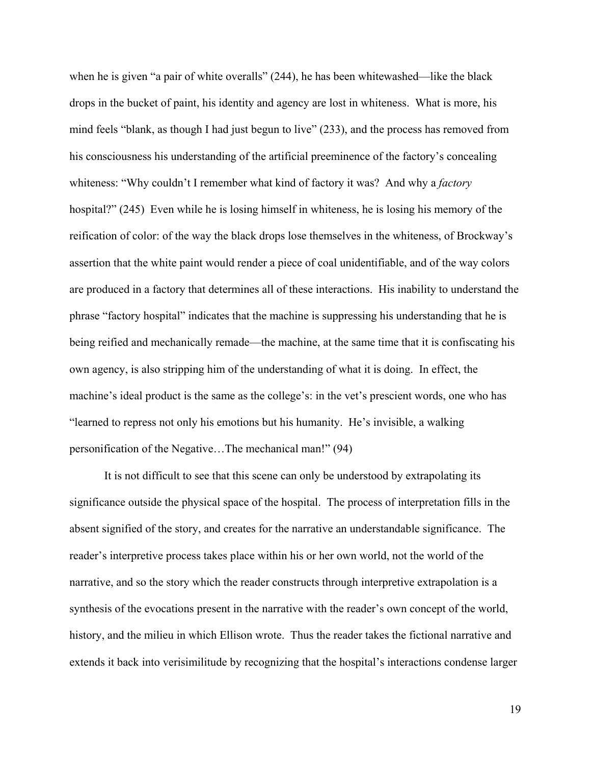when he is given "a pair of white overalls" (244), he has been whitewashed—like the black drops in the bucket of paint, his identity and agency are lost in whiteness. What is more, his mind feels "blank, as though I had just begun to live" (233), and the process has removed from his consciousness his understanding of the artificial preeminence of the factory's concealing whiteness: "Why couldn't I remember what kind of factory it was? And why a *factory*  hospital?" (245) Even while he is losing himself in whiteness, he is losing his memory of the reification of color: of the way the black drops lose themselves in the whiteness, of Brockway's assertion that the white paint would render a piece of coal unidentifiable, and of the way colors are produced in a factory that determines all of these interactions. His inability to understand the phrase "factory hospital" indicates that the machine is suppressing his understanding that he is being reified and mechanically remade—the machine, at the same time that it is confiscating his own agency, is also stripping him of the understanding of what it is doing. In effect, the machine's ideal product is the same as the college's: in the vet's prescient words, one who has "learned to repress not only his emotions but his humanity. He's invisible, a walking personification of the Negative…The mechanical man!" (94)

It is not difficult to see that this scene can only be understood by extrapolating its significance outside the physical space of the hospital. The process of interpretation fills in the absent signified of the story, and creates for the narrative an understandable significance. The reader's interpretive process takes place within his or her own world, not the world of the narrative, and so the story which the reader constructs through interpretive extrapolation is a synthesis of the evocations present in the narrative with the reader's own concept of the world, history, and the milieu in which Ellison wrote. Thus the reader takes the fictional narrative and extends it back into verisimilitude by recognizing that the hospital's interactions condense larger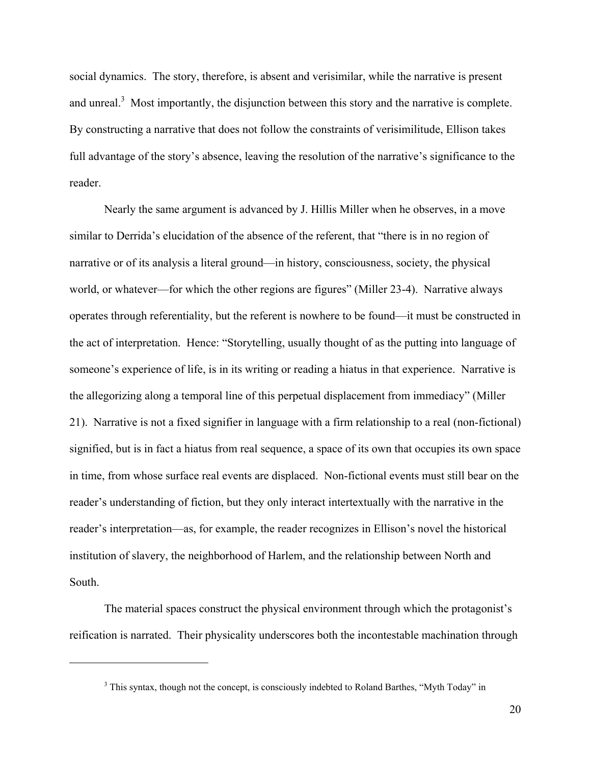social dynamics. The story, therefore, is absent and verisimilar, while the narrative is present and unreal. $3$  Most importantly, the disjunction between this story and the narrative is complete. By constructing a narrative that does not follow the constraints of verisimilitude, Ellison takes full advantage of the story's absence, leaving the resolution of the narrative's significance to the reader.

Nearly the same argument is advanced by J. Hillis Miller when he observes, in a move similar to Derrida's elucidation of the absence of the referent, that "there is in no region of narrative or of its analysis a literal ground—in history, consciousness, society, the physical world, or whatever—for which the other regions are figures" (Miller 23-4). Narrative always operates through referentiality, but the referent is nowhere to be found—it must be constructed in the act of interpretation. Hence: "Storytelling, usually thought of as the putting into language of someone's experience of life, is in its writing or reading a hiatus in that experience. Narrative is the allegorizing along a temporal line of this perpetual displacement from immediacy" (Miller 21). Narrative is not a fixed signifier in language with a firm relationship to a real (non-fictional) signified, but is in fact a hiatus from real sequence, a space of its own that occupies its own space in time, from whose surface real events are displaced. Non-fictional events must still bear on the reader's understanding of fiction, but they only interact intertextually with the narrative in the reader's interpretation—as, for example, the reader recognizes in Ellison's novel the historical institution of slavery, the neighborhood of Harlem, and the relationship between North and South.

The material spaces construct the physical environment through which the protagonist's reification is narrated. Their physicality underscores both the incontestable machination through

 $\overline{a}$ 

<sup>&</sup>lt;sup>3</sup> This syntax, though not the concept, is consciously indebted to Roland Barthes, "Myth Today" in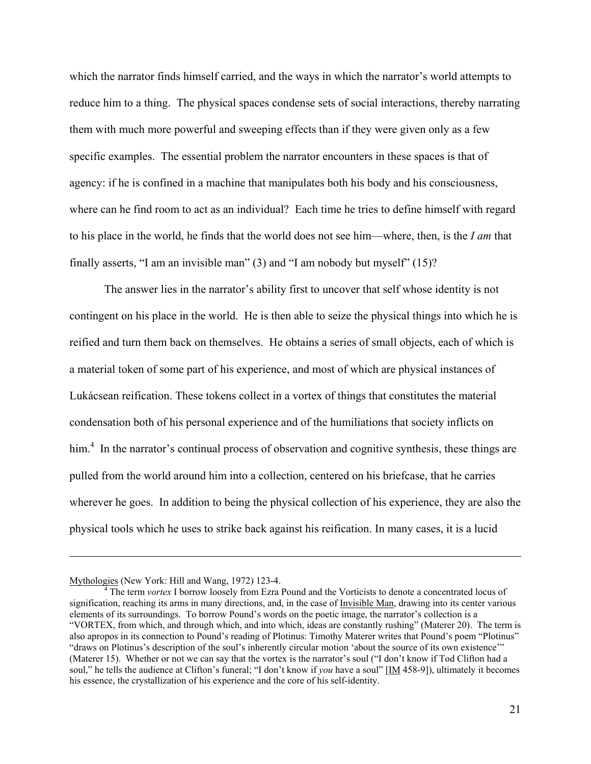which the narrator finds himself carried, and the ways in which the narrator's world attempts to reduce him to a thing. The physical spaces condense sets of social interactions, thereby narrating them with much more powerful and sweeping effects than if they were given only as a few specific examples. The essential problem the narrator encounters in these spaces is that of agency: if he is confined in a machine that manipulates both his body and his consciousness, where can he find room to act as an individual? Each time he tries to define himself with regard to his place in the world, he finds that the world does not see him—where, then, is the *I am* that finally asserts, "I am an invisible man" (3) and "I am nobody but myself" (15)?

The answer lies in the narrator's ability first to uncover that self whose identity is not contingent on his place in the world. He is then able to seize the physical things into which he is reified and turn them back on themselves. He obtains a series of small objects, each of which is a material token of some part of his experience, and most of which are physical instances of Lukácsean reification. These tokens collect in a vortex of things that constitutes the material condensation both of his personal experience and of the humiliations that society inflicts on him.<sup>4</sup> In the narrator's continual process of observation and cognitive synthesis, these things are pulled from the world around him into a collection, centered on his briefcase, that he carries wherever he goes. In addition to being the physical collection of his experience, they are also the physical tools which he uses to strike back against his reification. In many cases, it is a lucid

 $\overline{a}$ 

Mythologies (New York: Hill and Wang, 1972) 123-4.

<sup>&</sup>lt;sup>4</sup> The term *vortex* I borrow loosely from Ezra Pound and the Vorticists to denote a concentrated locus of signification, reaching its arms in many directions, and, in the case of Invisible Man, drawing into its center various elements of its surroundings. To borrow Pound's words on the poetic image, the narrator's collection is a "VORTEX, from which, and through which, and into which, ideas are constantly rushing" (Materer 20). The term is also apropos in its connection to Pound's reading of Plotinus: Timothy Materer writes that Pound's poem "Plotinus" "draws on Plotinus's description of the soul's inherently circular motion 'about the source of its own existence'" (Materer 15). Whether or not we can say that the vortex is the narrator's soul ("I don't know if Tod Clifton had a soul," he tells the audience at Clifton's funeral; "I don't know if *you* have a soul" [IM 458-9]), ultimately it becomes his essence, the crystallization of his experience and the core of his self-identity.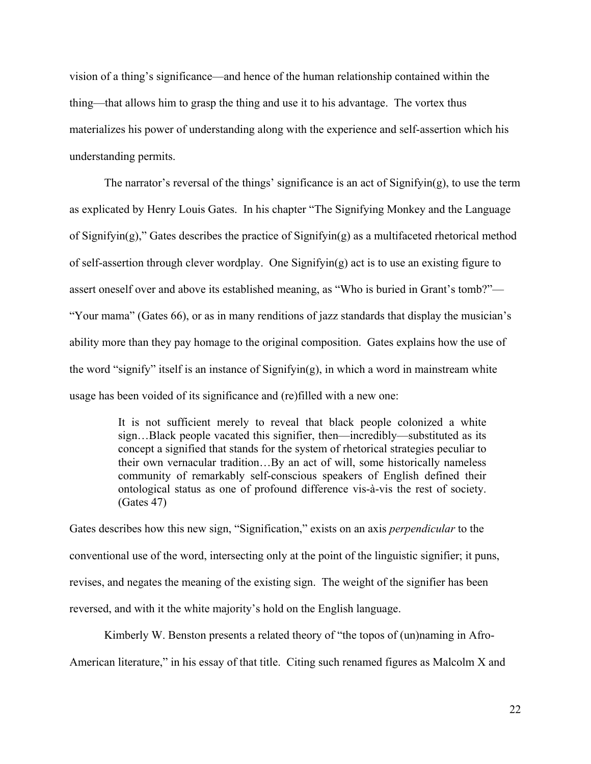vision of a thing's significance—and hence of the human relationship contained within the thing—that allows him to grasp the thing and use it to his advantage. The vortex thus materializes his power of understanding along with the experience and self-assertion which his understanding permits.

The narrator's reversal of the things' significance is an act of  $Signifying)$ , to use the term as explicated by Henry Louis Gates. In his chapter "The Signifying Monkey and the Language of Signifyin(g)," Gates describes the practice of Signifyin(g) as a multifaceted rhetorical method of self-assertion through clever wordplay. One Signifyin(g) act is to use an existing figure to assert oneself over and above its established meaning, as "Who is buried in Grant's tomb?"— "Your mama" (Gates 66), or as in many renditions of jazz standards that display the musician's ability more than they pay homage to the original composition. Gates explains how the use of the word "signify" itself is an instance of Signifyin(g), in which a word in mainstream white usage has been voided of its significance and (re)filled with a new one:

> It is not sufficient merely to reveal that black people colonized a white sign…Black people vacated this signifier, then—incredibly—substituted as its concept a signified that stands for the system of rhetorical strategies peculiar to their own vernacular tradition…By an act of will, some historically nameless community of remarkably self-conscious speakers of English defined their ontological status as one of profound difference vis-à-vis the rest of society. (Gates 47)

Gates describes how this new sign, "Signification," exists on an axis *perpendicular* to the conventional use of the word, intersecting only at the point of the linguistic signifier; it puns, revises, and negates the meaning of the existing sign. The weight of the signifier has been reversed, and with it the white majority's hold on the English language.

Kimberly W. Benston presents a related theory of "the topos of (un)naming in Afro-American literature," in his essay of that title. Citing such renamed figures as Malcolm X and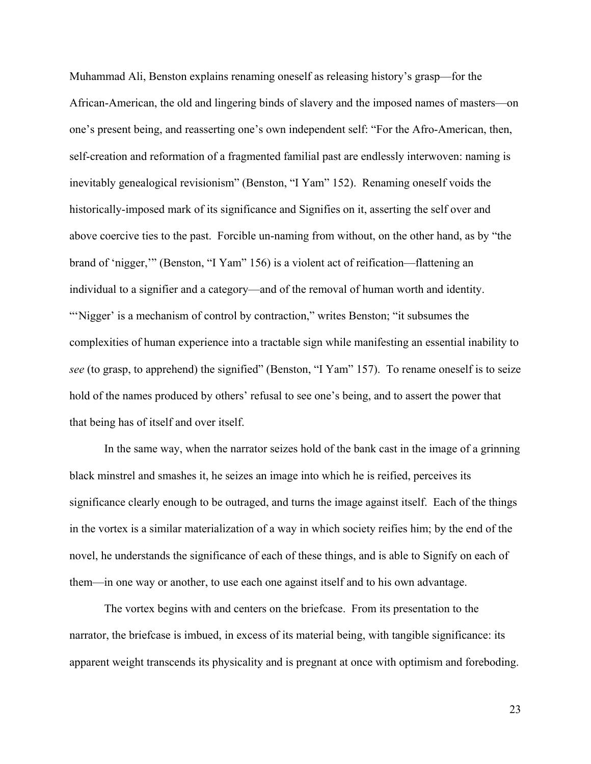Muhammad Ali, Benston explains renaming oneself as releasing history's grasp—for the African-American, the old and lingering binds of slavery and the imposed names of masters—on one's present being, and reasserting one's own independent self: "For the Afro-American, then, self-creation and reformation of a fragmented familial past are endlessly interwoven: naming is inevitably genealogical revisionism" (Benston, "I Yam" 152). Renaming oneself voids the historically-imposed mark of its significance and Signifies on it, asserting the self over and above coercive ties to the past. Forcible un-naming from without, on the other hand, as by "the brand of 'nigger,'" (Benston, "I Yam" 156) is a violent act of reification—flattening an individual to a signifier and a category—and of the removal of human worth and identity. "'Nigger' is a mechanism of control by contraction," writes Benston; "it subsumes the complexities of human experience into a tractable sign while manifesting an essential inability to *see* (to grasp, to apprehend) the signified" (Benston, "I Yam" 157). To rename oneself is to seize hold of the names produced by others' refusal to see one's being, and to assert the power that that being has of itself and over itself.

In the same way, when the narrator seizes hold of the bank cast in the image of a grinning black minstrel and smashes it, he seizes an image into which he is reified, perceives its significance clearly enough to be outraged, and turns the image against itself. Each of the things in the vortex is a similar materialization of a way in which society reifies him; by the end of the novel, he understands the significance of each of these things, and is able to Signify on each of them—in one way or another, to use each one against itself and to his own advantage.

The vortex begins with and centers on the briefcase. From its presentation to the narrator, the briefcase is imbued, in excess of its material being, with tangible significance: its apparent weight transcends its physicality and is pregnant at once with optimism and foreboding.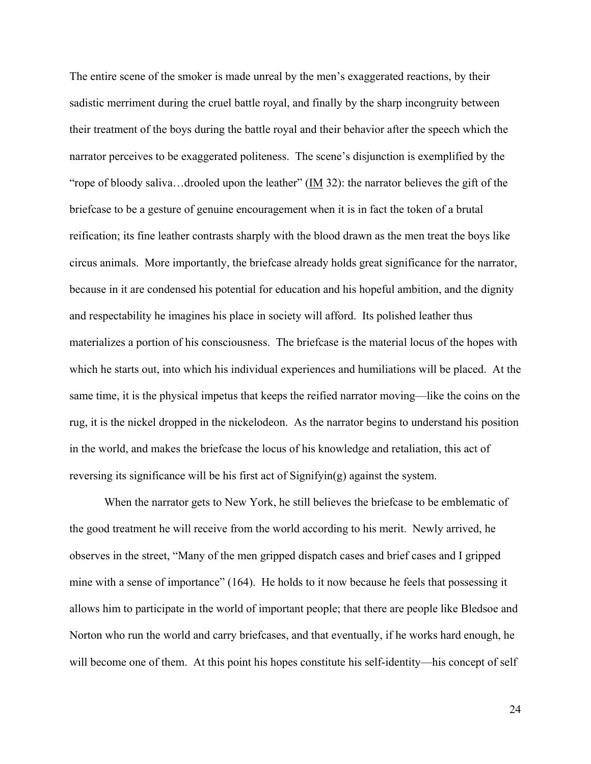The entire scene of the smoker is made unreal by the men's exaggerated reactions, by their sadistic merriment during the cruel battle royal, and finally by the sharp incongruity between their treatment of the boys during the battle royal and their behavior after the speech which the narrator perceives to be exaggerated politeness. The scene's disjunction is exemplified by the "rope of bloody saliva...drooled upon the leather"  $(IM 32)$ : the narrator believes the gift of the briefcase to be a gesture of genuine encouragement when it is in fact the token of a brutal reification; its fine leather contrasts sharply with the blood drawn as the men treat the boys like circus animals. More importantly, the briefcase already holds great significance for the narrator, because in it are condensed his potential for education and his hopeful ambition, and the dignity and respectability he imagines his place in society will afford. Its polished leather thus materializes a portion of his consciousness. The briefcase is the material locus of the hopes with which he starts out, into which his individual experiences and humiliations will be placed. At the same time, it is the physical impetus that keeps the reified narrator moving—like the coins on the rug, it is the nickel dropped in the nickelodeon. As the narrator begins to understand his position in the world, and makes the briefcase the locus of his knowledge and retaliation, this act of reversing its significance will be his first act of Signifyin(g) against the system.

When the narrator gets to New York, he still believes the briefcase to be emblematic of the good treatment he will receive from the world according to his merit. Newly arrived, he observes in the street, "Many of the men gripped dispatch cases and brief cases and I gripped mine with a sense of importance" (164). He holds to it now because he feels that possessing it allows him to participate in the world of important people; that there are people like Bledsoe and Norton who run the world and carry briefcases, and that eventually, if he works hard enough, he will become one of them. At this point his hopes constitute his self-identity—his concept of self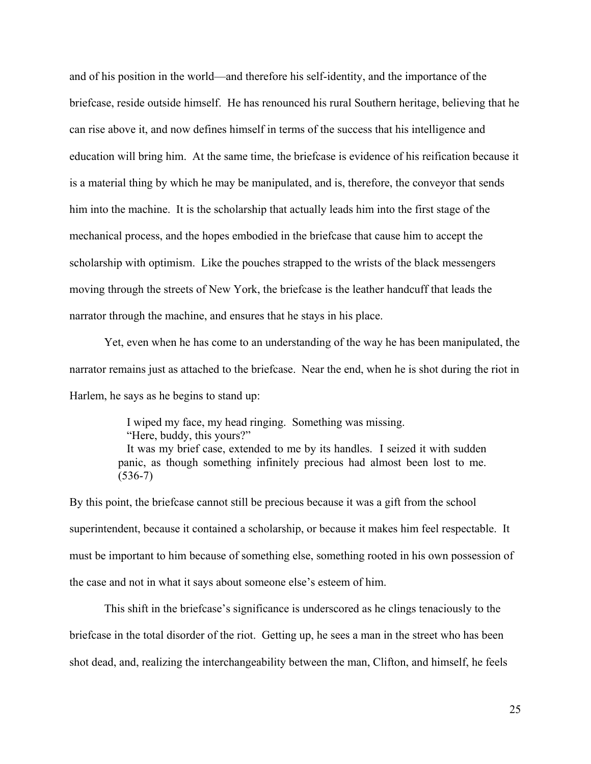and of his position in the world—and therefore his self-identity, and the importance of the briefcase, reside outside himself. He has renounced his rural Southern heritage, believing that he can rise above it, and now defines himself in terms of the success that his intelligence and education will bring him. At the same time, the briefcase is evidence of his reification because it is a material thing by which he may be manipulated, and is, therefore, the conveyor that sends him into the machine. It is the scholarship that actually leads him into the first stage of the mechanical process, and the hopes embodied in the briefcase that cause him to accept the scholarship with optimism. Like the pouches strapped to the wrists of the black messengers moving through the streets of New York, the briefcase is the leather handcuff that leads the narrator through the machine, and ensures that he stays in his place.

Yet, even when he has come to an understanding of the way he has been manipulated, the narrator remains just as attached to the briefcase. Near the end, when he is shot during the riot in Harlem, he says as he begins to stand up:

> I wiped my face, my head ringing. Something was missing. "Here, buddy, this yours?" It was my brief case, extended to me by its handles. I seized it with sudden panic, as though something infinitely precious had almost been lost to me.  $(536-7)$

By this point, the briefcase cannot still be precious because it was a gift from the school superintendent, because it contained a scholarship, or because it makes him feel respectable. It must be important to him because of something else, something rooted in his own possession of the case and not in what it says about someone else's esteem of him.

This shift in the briefcase's significance is underscored as he clings tenaciously to the briefcase in the total disorder of the riot. Getting up, he sees a man in the street who has been shot dead, and, realizing the interchangeability between the man, Clifton, and himself, he feels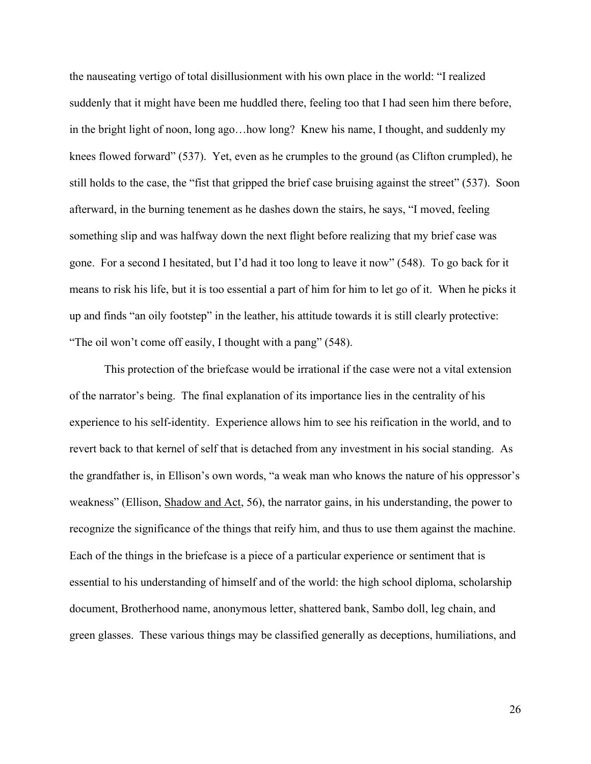the nauseating vertigo of total disillusionment with his own place in the world: "I realized suddenly that it might have been me huddled there, feeling too that I had seen him there before, in the bright light of noon, long ago…how long? Knew his name, I thought, and suddenly my knees flowed forward" (537). Yet, even as he crumples to the ground (as Clifton crumpled), he still holds to the case, the "fist that gripped the brief case bruising against the street" (537). Soon afterward, in the burning tenement as he dashes down the stairs, he says, "I moved, feeling something slip and was halfway down the next flight before realizing that my brief case was gone. For a second I hesitated, but I'd had it too long to leave it now" (548). To go back for it means to risk his life, but it is too essential a part of him for him to let go of it. When he picks it up and finds "an oily footstep" in the leather, his attitude towards it is still clearly protective: "The oil won't come off easily, I thought with a pang" (548).

This protection of the briefcase would be irrational if the case were not a vital extension of the narrator's being. The final explanation of its importance lies in the centrality of his experience to his self-identity. Experience allows him to see his reification in the world, and to revert back to that kernel of self that is detached from any investment in his social standing. As the grandfather is, in Ellison's own words, "a weak man who knows the nature of his oppressor's weakness" (Ellison, Shadow and Act, 56), the narrator gains, in his understanding, the power to recognize the significance of the things that reify him, and thus to use them against the machine. Each of the things in the briefcase is a piece of a particular experience or sentiment that is essential to his understanding of himself and of the world: the high school diploma, scholarship document, Brotherhood name, anonymous letter, shattered bank, Sambo doll, leg chain, and green glasses. These various things may be classified generally as deceptions, humiliations, and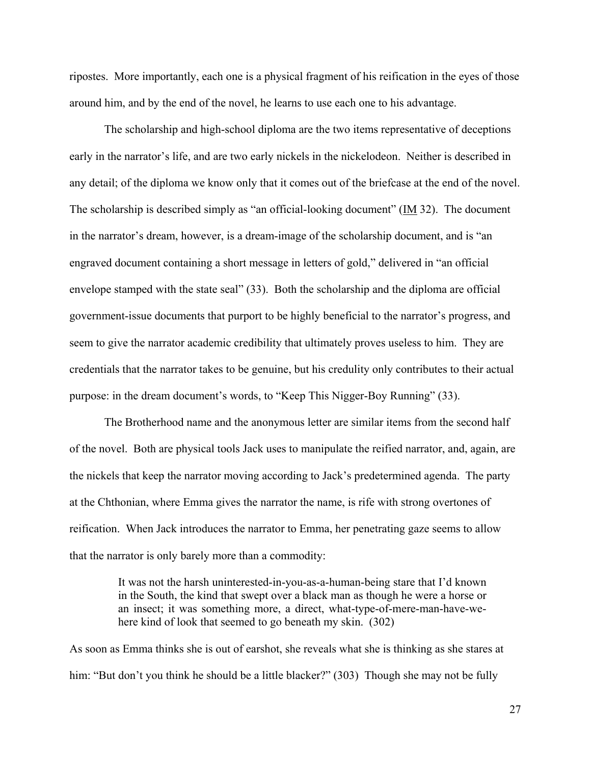ripostes. More importantly, each one is a physical fragment of his reification in the eyes of those around him, and by the end of the novel, he learns to use each one to his advantage.

The scholarship and high-school diploma are the two items representative of deceptions early in the narrator's life, and are two early nickels in the nickelodeon. Neither is described in any detail; of the diploma we know only that it comes out of the briefcase at the end of the novel. The scholarship is described simply as "an official-looking document" ( $\underline{IM}$  32). The document in the narrator's dream, however, is a dream-image of the scholarship document, and is "an engraved document containing a short message in letters of gold," delivered in "an official envelope stamped with the state seal" (33). Both the scholarship and the diploma are official government-issue documents that purport to be highly beneficial to the narrator's progress, and seem to give the narrator academic credibility that ultimately proves useless to him. They are credentials that the narrator takes to be genuine, but his credulity only contributes to their actual purpose: in the dream document's words, to "Keep This Nigger-Boy Running" (33).

The Brotherhood name and the anonymous letter are similar items from the second half of the novel. Both are physical tools Jack uses to manipulate the reified narrator, and, again, are the nickels that keep the narrator moving according to Jack's predetermined agenda. The party at the Chthonian, where Emma gives the narrator the name, is rife with strong overtones of reification. When Jack introduces the narrator to Emma, her penetrating gaze seems to allow that the narrator is only barely more than a commodity:

> It was not the harsh uninterested-in-you-as-a-human-being stare that I'd known in the South, the kind that swept over a black man as though he were a horse or an insect; it was something more, a direct, what-type-of-mere-man-have-wehere kind of look that seemed to go beneath my skin. (302)

As soon as Emma thinks she is out of earshot, she reveals what she is thinking as she stares at him: "But don't you think he should be a little blacker?" (303) Though she may not be fully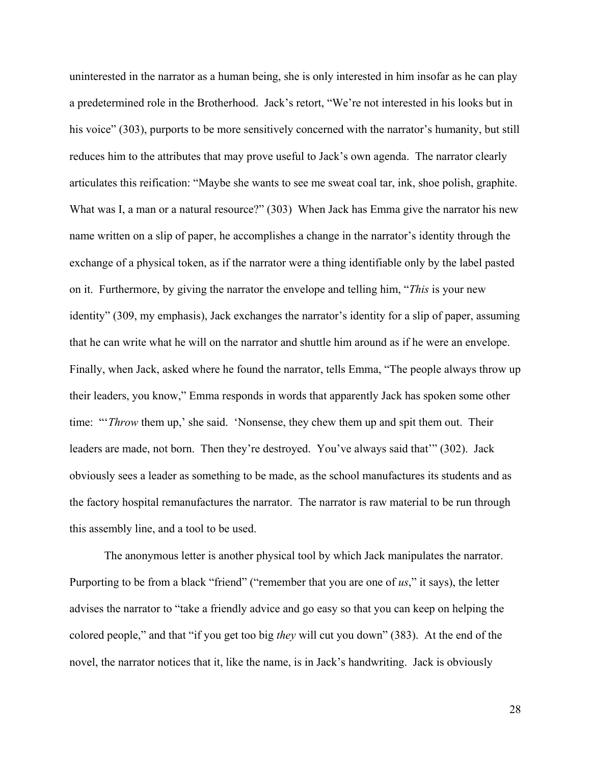uninterested in the narrator as a human being, she is only interested in him insofar as he can play a predetermined role in the Brotherhood. Jack's retort, "We're not interested in his looks but in his voice" (303), purports to be more sensitively concerned with the narrator's humanity, but still reduces him to the attributes that may prove useful to Jack's own agenda. The narrator clearly articulates this reification: "Maybe she wants to see me sweat coal tar, ink, shoe polish, graphite. What was I, a man or a natural resource?" (303) When Jack has Emma give the narrator his new name written on a slip of paper, he accomplishes a change in the narrator's identity through the exchange of a physical token, as if the narrator were a thing identifiable only by the label pasted on it. Furthermore, by giving the narrator the envelope and telling him, "*This* is your new identity" (309, my emphasis), Jack exchanges the narrator's identity for a slip of paper, assuming that he can write what he will on the narrator and shuttle him around as if he were an envelope. Finally, when Jack, asked where he found the narrator, tells Emma, "The people always throw up their leaders, you know," Emma responds in words that apparently Jack has spoken some other time: "'*Throw* them up,' she said. 'Nonsense, they chew them up and spit them out. Their leaders are made, not born. Then they're destroyed. You've always said that'" (302). Jack obviously sees a leader as something to be made, as the school manufactures its students and as the factory hospital remanufactures the narrator. The narrator is raw material to be run through this assembly line, and a tool to be used.

The anonymous letter is another physical tool by which Jack manipulates the narrator. Purporting to be from a black "friend" ("remember that you are one of *us*," it says), the letter advises the narrator to "take a friendly advice and go easy so that you can keep on helping the colored people," and that "if you get too big *they* will cut you down" (383). At the end of the novel, the narrator notices that it, like the name, is in Jack's handwriting. Jack is obviously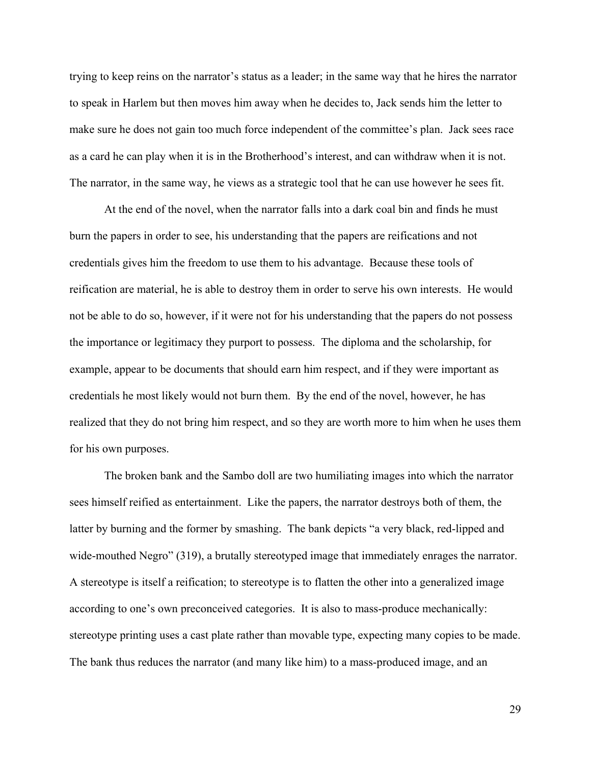trying to keep reins on the narrator's status as a leader; in the same way that he hires the narrator to speak in Harlem but then moves him away when he decides to, Jack sends him the letter to make sure he does not gain too much force independent of the committee's plan. Jack sees race as a card he can play when it is in the Brotherhood's interest, and can withdraw when it is not. The narrator, in the same way, he views as a strategic tool that he can use however he sees fit.

At the end of the novel, when the narrator falls into a dark coal bin and finds he must burn the papers in order to see, his understanding that the papers are reifications and not credentials gives him the freedom to use them to his advantage. Because these tools of reification are material, he is able to destroy them in order to serve his own interests. He would not be able to do so, however, if it were not for his understanding that the papers do not possess the importance or legitimacy they purport to possess. The diploma and the scholarship, for example, appear to be documents that should earn him respect, and if they were important as credentials he most likely would not burn them. By the end of the novel, however, he has realized that they do not bring him respect, and so they are worth more to him when he uses them for his own purposes.

The broken bank and the Sambo doll are two humiliating images into which the narrator sees himself reified as entertainment. Like the papers, the narrator destroys both of them, the latter by burning and the former by smashing. The bank depicts "a very black, red-lipped and wide-mouthed Negro" (319), a brutally stereotyped image that immediately enrages the narrator. A stereotype is itself a reification; to stereotype is to flatten the other into a generalized image according to one's own preconceived categories. It is also to mass-produce mechanically: stereotype printing uses a cast plate rather than movable type, expecting many copies to be made. The bank thus reduces the narrator (and many like him) to a mass-produced image, and an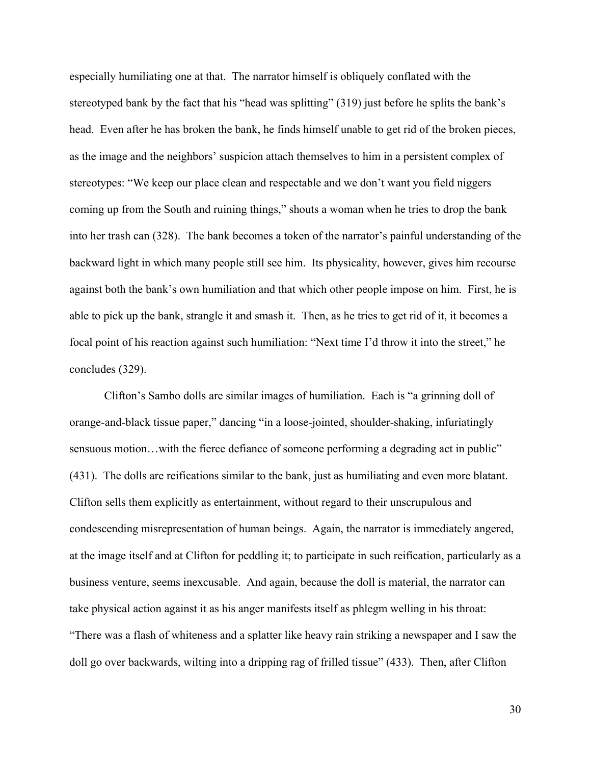especially humiliating one at that. The narrator himself is obliquely conflated with the stereotyped bank by the fact that his "head was splitting" (319) just before he splits the bank's head. Even after he has broken the bank, he finds himself unable to get rid of the broken pieces, as the image and the neighbors' suspicion attach themselves to him in a persistent complex of stereotypes: "We keep our place clean and respectable and we don't want you field niggers coming up from the South and ruining things," shouts a woman when he tries to drop the bank into her trash can (328). The bank becomes a token of the narrator's painful understanding of the backward light in which many people still see him. Its physicality, however, gives him recourse against both the bank's own humiliation and that which other people impose on him. First, he is able to pick up the bank, strangle it and smash it. Then, as he tries to get rid of it, it becomes a focal point of his reaction against such humiliation: "Next time I'd throw it into the street," he concludes (329).

Clifton's Sambo dolls are similar images of humiliation. Each is "a grinning doll of orange-and-black tissue paper," dancing "in a loose-jointed, shoulder-shaking, infuriatingly sensuous motion…with the fierce defiance of someone performing a degrading act in public" (431). The dolls are reifications similar to the bank, just as humiliating and even more blatant. Clifton sells them explicitly as entertainment, without regard to their unscrupulous and condescending misrepresentation of human beings. Again, the narrator is immediately angered, at the image itself and at Clifton for peddling it; to participate in such reification, particularly as a business venture, seems inexcusable. And again, because the doll is material, the narrator can take physical action against it as his anger manifests itself as phlegm welling in his throat: "There was a flash of whiteness and a splatter like heavy rain striking a newspaper and I saw the doll go over backwards, wilting into a dripping rag of frilled tissue" (433). Then, after Clifton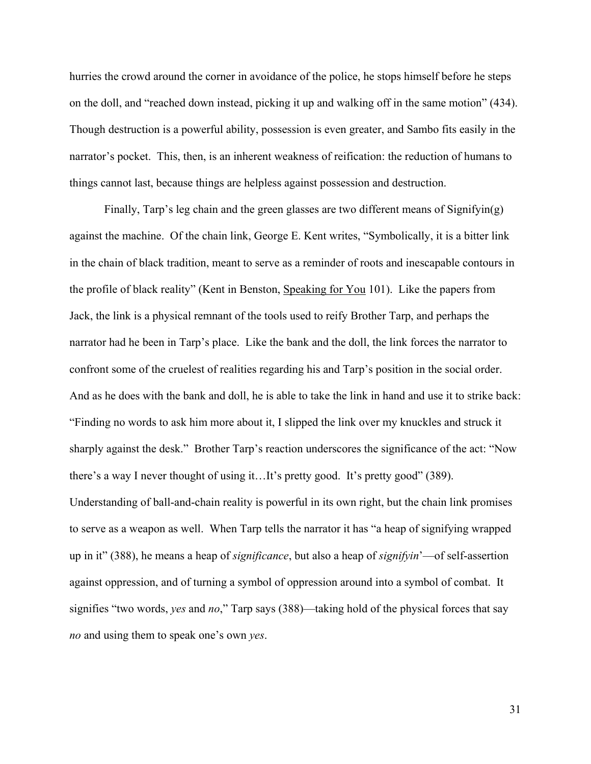hurries the crowd around the corner in avoidance of the police, he stops himself before he steps on the doll, and "reached down instead, picking it up and walking off in the same motion" (434). Though destruction is a powerful ability, possession is even greater, and Sambo fits easily in the narrator's pocket. This, then, is an inherent weakness of reification: the reduction of humans to things cannot last, because things are helpless against possession and destruction.

Finally, Tarp's leg chain and the green glasses are two different means of Signifyin(g) against the machine. Of the chain link, George E. Kent writes, "Symbolically, it is a bitter link in the chain of black tradition, meant to serve as a reminder of roots and inescapable contours in the profile of black reality" (Kent in Benston, Speaking for You 101). Like the papers from Jack, the link is a physical remnant of the tools used to reify Brother Tarp, and perhaps the narrator had he been in Tarp's place. Like the bank and the doll, the link forces the narrator to confront some of the cruelest of realities regarding his and Tarp's position in the social order. And as he does with the bank and doll, he is able to take the link in hand and use it to strike back: "Finding no words to ask him more about it, I slipped the link over my knuckles and struck it sharply against the desk." Brother Tarp's reaction underscores the significance of the act: "Now there's a way I never thought of using it…It's pretty good. It's pretty good" (389). Understanding of ball-and-chain reality is powerful in its own right, but the chain link promises to serve as a weapon as well. When Tarp tells the narrator it has "a heap of signifying wrapped up in it" (388), he means a heap of *significance*, but also a heap of *signifyin*'—of self-assertion against oppression, and of turning a symbol of oppression around into a symbol of combat. It signifies "two words, *yes* and *no*," Tarp says (388)—taking hold of the physical forces that say *no* and using them to speak one's own *yes*.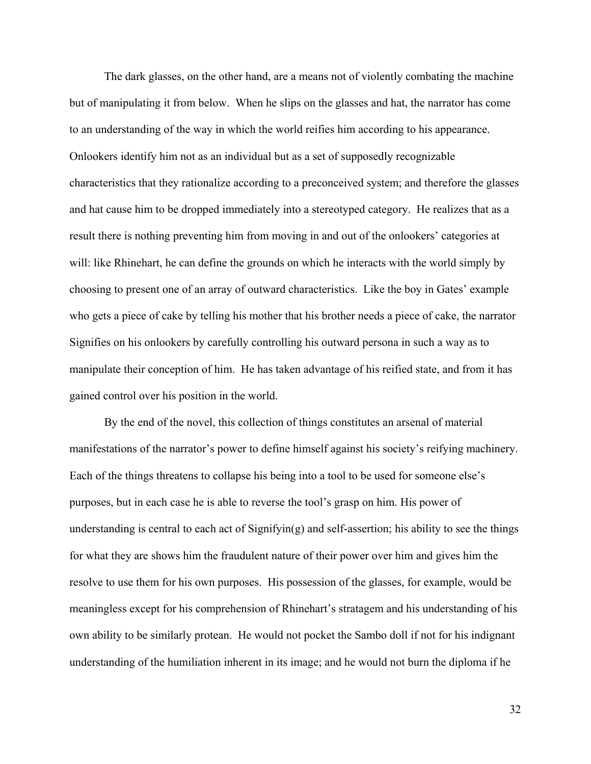The dark glasses, on the other hand, are a means not of violently combating the machine but of manipulating it from below. When he slips on the glasses and hat, the narrator has come to an understanding of the way in which the world reifies him according to his appearance. Onlookers identify him not as an individual but as a set of supposedly recognizable characteristics that they rationalize according to a preconceived system; and therefore the glasses and hat cause him to be dropped immediately into a stereotyped category. He realizes that as a result there is nothing preventing him from moving in and out of the onlookers' categories at will: like Rhinehart, he can define the grounds on which he interacts with the world simply by choosing to present one of an array of outward characteristics. Like the boy in Gates' example who gets a piece of cake by telling his mother that his brother needs a piece of cake, the narrator Signifies on his onlookers by carefully controlling his outward persona in such a way as to manipulate their conception of him. He has taken advantage of his reified state, and from it has gained control over his position in the world.

By the end of the novel, this collection of things constitutes an arsenal of material manifestations of the narrator's power to define himself against his society's reifying machinery. Each of the things threatens to collapse his being into a tool to be used for someone else's purposes, but in each case he is able to reverse the tool's grasp on him. His power of understanding is central to each act of  $Signifying)$  and self-assertion; his ability to see the things for what they are shows him the fraudulent nature of their power over him and gives him the resolve to use them for his own purposes. His possession of the glasses, for example, would be meaningless except for his comprehension of Rhinehart's stratagem and his understanding of his own ability to be similarly protean. He would not pocket the Sambo doll if not for his indignant understanding of the humiliation inherent in its image; and he would not burn the diploma if he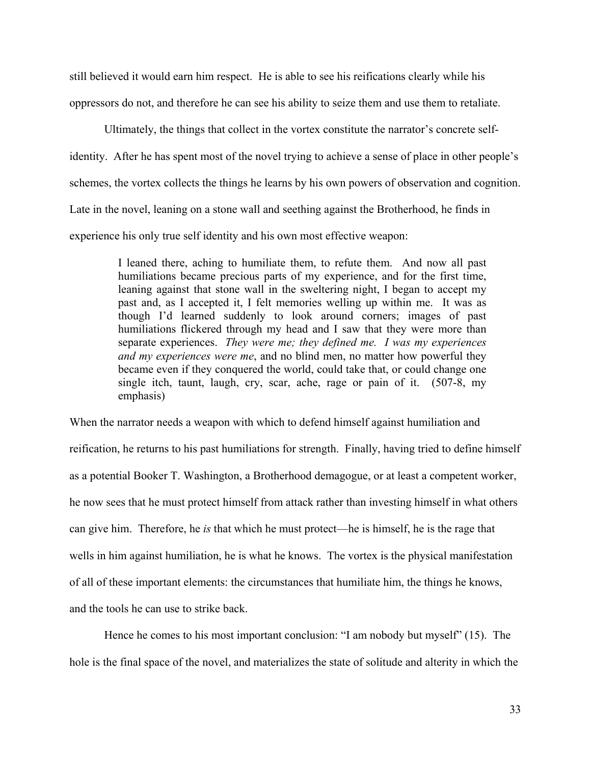still believed it would earn him respect. He is able to see his reifications clearly while his oppressors do not, and therefore he can see his ability to seize them and use them to retaliate.

Ultimately, the things that collect in the vortex constitute the narrator's concrete selfidentity. After he has spent most of the novel trying to achieve a sense of place in other people's schemes, the vortex collects the things he learns by his own powers of observation and cognition. Late in the novel, leaning on a stone wall and seething against the Brotherhood, he finds in experience his only true self identity and his own most effective weapon:

> I leaned there, aching to humiliate them, to refute them. And now all past humiliations became precious parts of my experience, and for the first time, leaning against that stone wall in the sweltering night, I began to accept my past and, as I accepted it, I felt memories welling up within me. It was as though I'd learned suddenly to look around corners; images of past humiliations flickered through my head and I saw that they were more than separate experiences. *They were me; they defined me. I was my experiences and my experiences were me*, and no blind men, no matter how powerful they became even if they conquered the world, could take that, or could change one single itch, taunt, laugh, cry, scar, ache, rage or pain of it. (507-8, my emphasis)

When the narrator needs a weapon with which to defend himself against humiliation and reification, he returns to his past humiliations for strength. Finally, having tried to define himself as a potential Booker T. Washington, a Brotherhood demagogue, or at least a competent worker, he now sees that he must protect himself from attack rather than investing himself in what others can give him. Therefore, he *is* that which he must protect—he is himself, he is the rage that wells in him against humiliation, he is what he knows. The vortex is the physical manifestation of all of these important elements: the circumstances that humiliate him, the things he knows, and the tools he can use to strike back.

Hence he comes to his most important conclusion: "I am nobody but myself" (15). The hole is the final space of the novel, and materializes the state of solitude and alterity in which the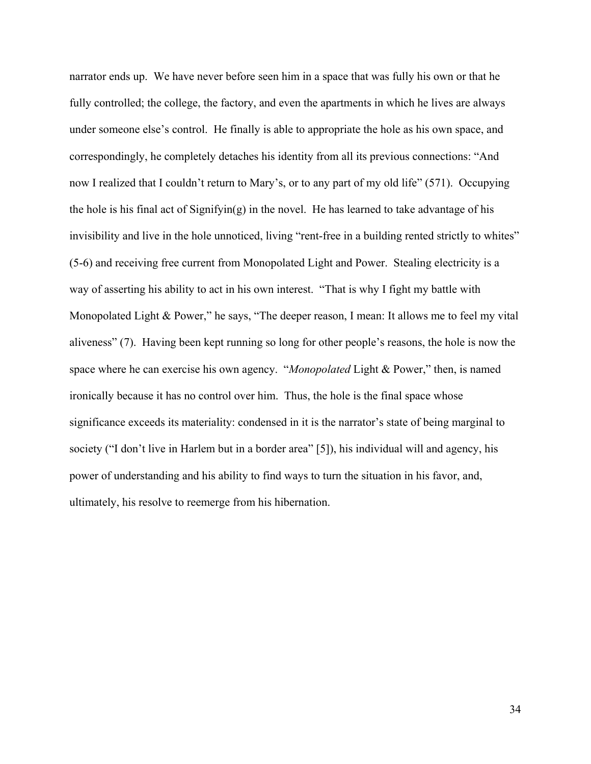narrator ends up. We have never before seen him in a space that was fully his own or that he fully controlled; the college, the factory, and even the apartments in which he lives are always under someone else's control. He finally is able to appropriate the hole as his own space, and correspondingly, he completely detaches his identity from all its previous connections: "And now I realized that I couldn't return to Mary's, or to any part of my old life" (571). Occupying the hole is his final act of Signifyin(g) in the novel. He has learned to take advantage of his invisibility and live in the hole unnoticed, living "rent-free in a building rented strictly to whites" (5-6) and receiving free current from Monopolated Light and Power. Stealing electricity is a way of asserting his ability to act in his own interest. "That is why I fight my battle with Monopolated Light & Power," he says, "The deeper reason, I mean: It allows me to feel my vital aliveness" (7). Having been kept running so long for other people's reasons, the hole is now the space where he can exercise his own agency. "*Monopolated* Light & Power," then, is named ironically because it has no control over him. Thus, the hole is the final space whose significance exceeds its materiality: condensed in it is the narrator's state of being marginal to society ("I don't live in Harlem but in a border area" [5]), his individual will and agency, his power of understanding and his ability to find ways to turn the situation in his favor, and, ultimately, his resolve to reemerge from his hibernation.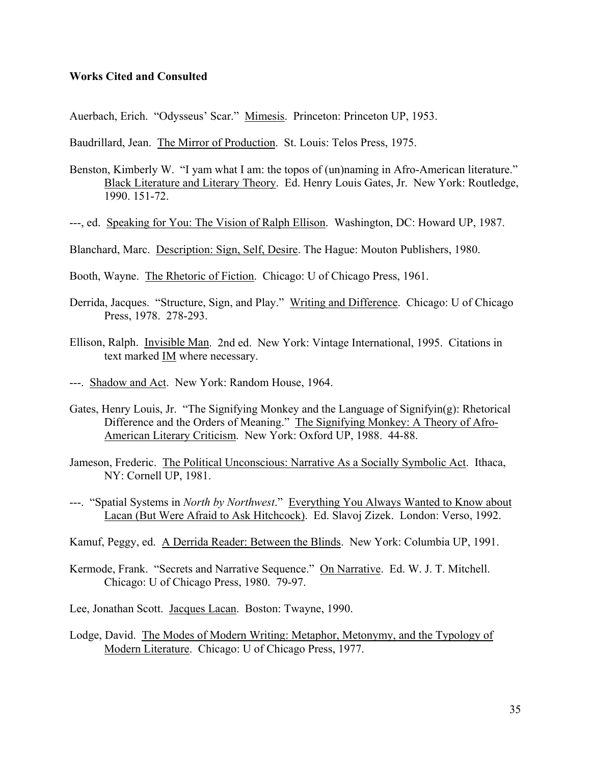## **Works Cited and Consulted**

Auerbach, Erich. "Odysseus' Scar." Mimesis. Princeton: Princeton UP, 1953.

Baudrillard, Jean. The Mirror of Production. St. Louis: Telos Press, 1975.

- Benston, Kimberly W. "I yam what I am: the topos of (un)naming in Afro-American literature." Black Literature and Literary Theory. Ed. Henry Louis Gates, Jr. New York: Routledge, 1990. 151-72.
- ---, ed. Speaking for You: The Vision of Ralph Ellison. Washington, DC: Howard UP, 1987.

Blanchard, Marc. Description: Sign, Self, Desire. The Hague: Mouton Publishers, 1980.

Booth, Wayne. The Rhetoric of Fiction. Chicago: U of Chicago Press, 1961.

- Derrida, Jacques. "Structure, Sign, and Play." Writing and Difference. Chicago: U of Chicago Press, 1978. 278-293.
- Ellison, Ralph. Invisible Man. 2nd ed. New York: Vintage International, 1995. Citations in text marked IM where necessary.
- ---. Shadow and Act. New York: Random House, 1964.
- Gates, Henry Louis, Jr. "The Signifying Monkey and the Language of Signifyin(g): Rhetorical Difference and the Orders of Meaning." The Signifying Monkey: A Theory of Afro-American Literary Criticism. New York: Oxford UP, 1988. 44-88.
- Jameson, Frederic. The Political Unconscious: Narrative As a Socially Symbolic Act. Ithaca, NY: Cornell UP, 1981.
- ---. "Spatial Systems in *North by Northwest*." Everything You Always Wanted to Know about Lacan (But Were Afraid to Ask Hitchcock). Ed. Slavoj Zizek. London: Verso, 1992.

Kamuf, Peggy, ed. A Derrida Reader: Between the Blinds. New York: Columbia UP, 1991.

Kermode, Frank. "Secrets and Narrative Sequence." On Narrative. Ed. W. J. T. Mitchell. Chicago: U of Chicago Press, 1980. 79-97.

Lee, Jonathan Scott. Jacques Lacan. Boston: Twayne, 1990.

Lodge, David. The Modes of Modern Writing: Metaphor, Metonymy, and the Typology of Modern Literature. Chicago: U of Chicago Press, 1977.